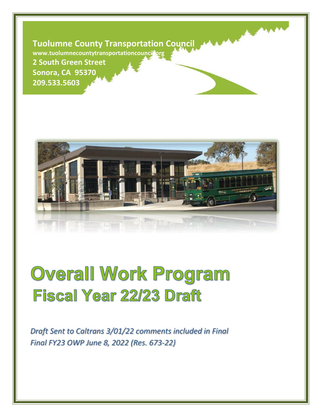**Tuolumne County Transportation Council**

www.tuolumnecountytransportationcouncil<sup>3</sup>org

**2 South Green Street Sonora, CA 95370 209.533.5603**



# **Overall Work Program Fiscal Year 22/23 Draft**

*Draft Sent to Caltrans 3/01/22 comments included in Final Final FY23 OWP June 8, 2022 (Res. 673-22)*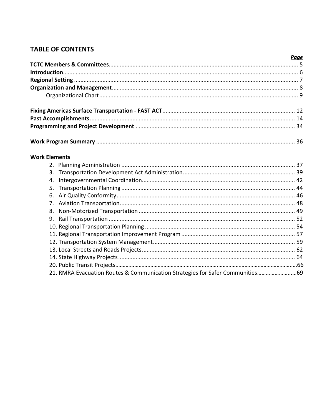# **TABLE OF CONTENTS**

|                                                                               | <b>Page</b> |
|-------------------------------------------------------------------------------|-------------|
|                                                                               |             |
|                                                                               |             |
|                                                                               |             |
|                                                                               |             |
|                                                                               |             |
|                                                                               |             |
|                                                                               |             |
|                                                                               |             |
|                                                                               |             |
| <b>Work Elements</b>                                                          |             |
|                                                                               |             |
| 3.                                                                            |             |
| 4.                                                                            |             |
| 5.                                                                            |             |
| 6.                                                                            |             |
| 7.                                                                            |             |
| 8.                                                                            |             |
| 9.                                                                            |             |
|                                                                               |             |
|                                                                               |             |
|                                                                               |             |
|                                                                               |             |
|                                                                               |             |
|                                                                               |             |
| 21. RMRA Evacuation Routes & Communication Strategies for Safer Communities69 |             |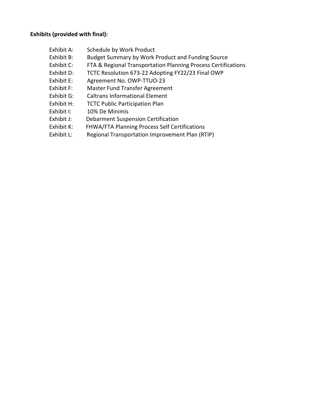#### **Exhibits (provided with final):**

- Exhibit A: Schedule by Work Product
- Exhibit B: Budget Summary by Work Product and Funding Source
- Exhibit C: FTA & Regional Transportation Planning Process Certifications
- Exhibit D: TCTC Resolution 673-22 Adopting FY22/23 Final OWP
- Exhibit E: Agreement No. OWP-TTUO-23
- Exhibit F: Master Fund Transfer Agreement
- Exhibit G: Caltrans Informational Element
- Exhibit H: TCTC Public Participation Plan
- Exhibit I: 10% De Minimis
- Exhibit J: Debarment Suspension Certification
- Exhibit K: FHWA/FTA Planning Process Self Certifications
- Exhibit L: Regional Transportation Improvement Plan (RTIP)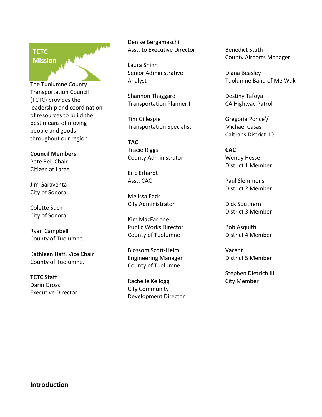# MARK A MAR **TCTC Mission**

The Tuolumne County Transportation Council (TCTC) provides the leadership and coordination of resources to build the best means of moving people and goods throughout our region.

#### **Council Members**

Pete Rei, Chair Citizen at Large

Jim Garaventa City of Sonora

Colette Such City of Sonora

Ryan Campbell County of Tuolumne

Kathleen Haff, Vice Chair County of Tuolumne,

**TCTC Staff** Darin Grossi Executive Director Denise Bergamaschi Asst. to Executive Director

Laura Shinn Senior Administrative Analyst

Shannon Thaggard Transportation Planner I

Tim Gillespie Transportation Specialist

**TAC** Tracie Riggs County Administrator

Eric Erhardt Asst. CAO

Melissa Eads City Administrator

Kim MacFarlane Public Works Director County of Tuolumne

Blossom Scott-Heim Engineering Manager County of Tuolumne

Rachelle Kellogg City Community Development Director Benedict Stuth County Airports Manager

Diana Beasley Tuolumne Band of Me Wuk

Destiny Tafoya CA Highway Patrol

Gregoria Ponce'/ Michael Casas Caltrans District 10

**CAC** Wendy Hesse District 1 Member

Paul Slemmons District 2 Member

Dick Southern District 3 Member

Bob Asquith District 4 Member

Vacant District 5 Member

Stephen Dietrich III City Member

#### **Introduction**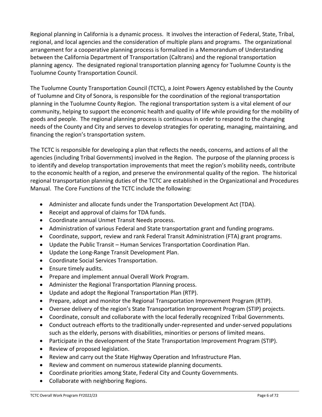Regional planning in California is a dynamic process. It involves the interaction of Federal, State, Tribal, regional, and local agencies and the consideration of multiple plans and programs. The organizational arrangement for a cooperative planning process is formalized in a Memorandum of Understanding between the California Department of Transportation (Caltrans) and the regional transportation planning agency. The designated regional transportation planning agency for Tuolumne County is the Tuolumne County Transportation Council.

The Tuolumne County Transportation Council (TCTC), a Joint Powers Agency established by the County of Tuolumne and City of Sonora, is responsible for the coordination of the regional transportation planning in the Tuolumne County Region. The regional transportation system is a vital element of our community, helping to support the economic health and quality of life while providing for the mobility of goods and people. The regional planning process is continuous in order to respond to the changing needs of the County and City and serves to develop strategies for operating, managing, maintaining, and financing the region's transportation system.

The TCTC is responsible for developing a plan that reflects the needs, concerns, and actions of all the agencies (including Tribal Governments) involved in the Region. The purpose of the planning process is to identify and develop transportation improvements that meet the region's mobility needs, contribute to the economic health of a region, and preserve the environmental quality of the region. The historical regional transportation planning duties of the TCTC are established in the Organizational and Procedures Manual. The Core Functions of the TCTC include the following:

- Administer and allocate funds under the Transportation Development Act (TDA).
- Receipt and approval of claims for TDA funds.
- Coordinate annual Unmet Transit Needs process.
- Administration of various Federal and State transportation grant and funding programs.
- Coordinate, support, review and rank Federal Transit Administration (FTA) grant programs.
- Update the Public Transit Human Services Transportation Coordination Plan.
- Update the Long-Range Transit Development Plan.
- Coordinate Social Services Transportation.
- Ensure timely audits.
- Prepare and implement annual Overall Work Program.
- Administer the Regional Transportation Planning process.
- Update and adopt the Regional Transportation Plan (RTP).
- Prepare, adopt and monitor the Regional Transportation Improvement Program (RTIP).
- Oversee delivery of the region's State Transportation Improvement Program (STIP) projects.
- Coordinate, consult and collaborate with the local federally recognized Tribal Governments.
- Conduct outreach efforts to the traditionally under-represented and under-served populations such as the elderly, persons with disabilities, minorities or persons of limited means.
- Participate in the development of the State Transportation Improvement Program (STIP).
- Review of proposed legislation.
- Review and carry out the State Highway Operation and Infrastructure Plan.
- Review and comment on numerous statewide planning documents.
- Coordinate priorities among State, Federal City and County Governments.
- Collaborate with neighboring Regions.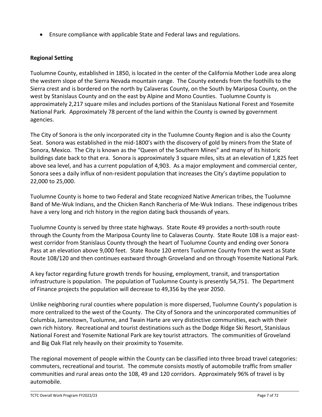• Ensure compliance with applicable State and Federal laws and regulations.

#### **Regional Setting**

Tuolumne County, established in 1850, is located in the center of the California Mother Lode area along the western slope of the Sierra Nevada mountain range. The County extends from the foothills to the Sierra crest and is bordered on the north by Calaveras County, on the South by Mariposa County, on the west by Stanislaus County and on the east by Alpine and Mono Counties. Tuolumne County is approximately 2,217 square miles and includes portions of the Stanislaus National Forest and Yosemite National Park. Approximately 78 percent of the land within the County is owned by government agencies.

The City of Sonora is the only incorporated city in the Tuolumne County Region and is also the County Seat. Sonora was established in the mid-1800's with the discovery of gold by miners from the State of Sonora, Mexico. The City is known as the "Queen of the Southern Mines" and many of its historic buildings date back to that era. Sonora is approximately 3 square miles, sits at an elevation of 1,825 feet above sea level, and has a current population of 4,903. As a major employment and commercial center, Sonora sees a daily influx of non-resident population that increases the City's daytime population to 22,000 to 25,000.

Tuolumne County is home to two Federal and State recognized Native American tribes, the Tuolumne Band of Me-Wuk Indians, and the Chicken Ranch Rancheria of Me-Wuk Indians. These indigenous tribes have a very long and rich history in the region dating back thousands of years.

Tuolumne County is served by three state highways. State Route 49 provides a north-south route through the County from the Mariposa County line to Calaveras County. State Route 108 is a major eastwest corridor from Stanislaus County through the heart of Tuolumne County and ending over Sonora Pass at an elevation above 9,000 feet. State Route 120 enters Tuolumne County from the west as State Route 108/120 and then continues eastward through Groveland and on through Yosemite National Park.

A key factor regarding future growth trends for housing, employment, transit, and transportation infrastructure is population. The population of Tuolumne County is presently 54,751. The Department of Finance projects the population will decrease to 49,356 by the year 2050.

Unlike neighboring rural counties where population is more dispersed, Tuolumne County's population is more centralized to the west of the County. The City of Sonora and the unincorporated communities of Columbia, Jamestown, Tuolumne, and Twain Harte are very distinctive communities, each with their own rich history. Recreational and tourist destinations such as the Dodge Ridge Ski Resort, Stanislaus National Forest and Yosemite National Park are key tourist attractors. The communities of Groveland and Big Oak Flat rely heavily on their proximity to Yosemite.

The regional movement of people within the County can be classified into three broad travel categories: commuters, recreational and tourist. The commute consists mostly of automobile traffic from smaller communities and rural areas onto the 108, 49 and 120 corridors. Approximately 96% of travel is by automobile.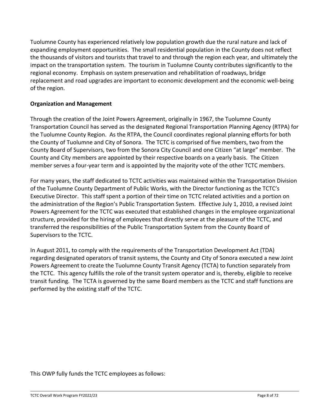Tuolumne County has experienced relatively low population growth due the rural nature and lack of expanding employment opportunities. The small residential population in the County does not reflect the thousands of visitors and tourists that travel to and through the region each year, and ultimately the impact on the transportation system. The tourism in Tuolumne County contributes significantly to the regional economy. Emphasis on system preservation and rehabilitation of roadways, bridge replacement and road upgrades are important to economic development and the economic well-being of the region.

#### **Organization and Management**

Through the creation of the Joint Powers Agreement, originally in 1967, the Tuolumne County Transportation Council has served as the designated Regional Transportation Planning Agency (RTPA) for the Tuolumne County Region. As the RTPA, the Council coordinates regional planning efforts for both the County of Tuolumne and City of Sonora. The TCTC is comprised of five members, two from the County Board of Supervisors, two from the Sonora City Council and one Citizen "at large" member. The County and City members are appointed by their respective boards on a yearly basis. The Citizen member serves a four-year term and is appointed by the majority vote of the other TCTC members.

For many years, the staff dedicated to TCTC activities was maintained within the Transportation Division of the Tuolumne County Department of Public Works, with the Director functioning as the TCTC's Executive Director. This staff spent a portion of their time on TCTC related activities and a portion on the administration of the Region's Public Transportation System. Effective July 1, 2010, a revised Joint Powers Agreement for the TCTC was executed that established changes in the employee organizational structure, provided for the hiring of employees that directly serve at the pleasure of the TCTC, and transferred the responsibilities of the Public Transportation System from the County Board of Supervisors to the TCTC.

In August 2011, to comply with the requirements of the Transportation Development Act (TDA) regarding designated operators of transit systems, the County and City of Sonora executed a new Joint Powers Agreement to create the Tuolumne County Transit Agency (TCTA) to function separately from the TCTC. This agency fulfills the role of the transit system operator and is, thereby, eligible to receive transit funding. The TCTA is governed by the same Board members as the TCTC and staff functions are performed by the existing staff of the TCTC.

This OWP fully funds the TCTC employees as follows: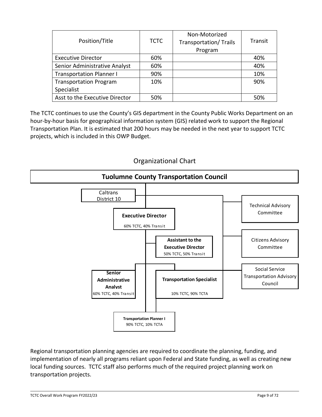| Position/Title                  | <b>TCTC</b> | Non-Motorized<br><b>Transportation/ Trails</b><br>Program | Transit |
|---------------------------------|-------------|-----------------------------------------------------------|---------|
| <b>Executive Director</b>       | 60%         |                                                           | 40%     |
| Senior Administrative Analyst   | 60%         |                                                           | 40%     |
| <b>Transportation Planner I</b> | 90%         |                                                           | 10%     |
| <b>Transportation Program</b>   | 10%         |                                                           | 90%     |
| Specialist                      |             |                                                           |         |
| Asst to the Executive Director  | 50%         |                                                           | 50%     |

The TCTC continues to use the County's GIS department in the County Public Works Department on an hour-by-hour basis for geographical information system (GIS) related work to support the Regional Transportation Plan. It is estimated that 200 hours may be needed in the next year to support TCTC projects, which is included in this OWP Budget.

#### **Tuolumne County Transportation Council Executive Director** Citizens Advisory Committee Social Service Transportation Advisory 60% TCTC, 40% Transit Technical Advisory Committee **Assistant to the Executive Director** 50% TCTC, 50% Transit **Senior**  Caltrans District 10

**Transportation Specialist**

10% TCTC, 90% TCTA

## Organizational Chart

Regional transportation planning agencies are required to coordinate the planning, funding, and implementation of nearly all programs reliant upon Federal and State funding, as well as creating new local funding sources. TCTC staff also performs much of the required project planning work on transportation projects.

**Transportation Planner I**  90% TCTC, 10% TCTA

**Administrative Analyst** 60% TCTC, 40% Transit

Council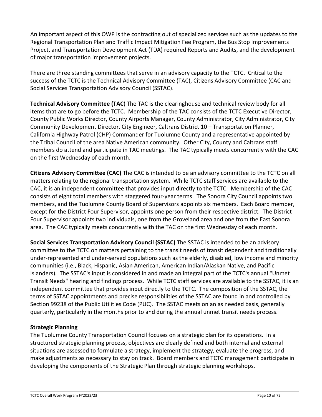An important aspect of this OWP is the contracting out of specialized services such as the updates to the Regional Transportation Plan and Traffic Impact Mitigation Fee Program, the Bus Stop Improvements Project, and Transportation Development Act (TDA) required Reports and Audits, and the development of major transportation improvement projects.

There are three standing committees that serve in an advisory capacity to the TCTC. Critical to the success of the TCTC is the Technical Advisory Committee (TAC), Citizens Advisory Committee (CAC and Social Services Transportation Advisory Council (SSTAC).

**Technical Advisory Committee (TAC**) The TAC is the clearinghouse and technical review body for all items that are to go before the TCTC. Membership of the TAC consists of the TCTC Executive Director, County Public Works Director, County Airports Manager, County Administrator, City Administrator, City Community Development Director, City Engineer, Caltrans District 10 – Transportation Planner, California Highway Patrol (CHP) Commander for Tuolumne County and a representative appointed by the Tribal Council of the area Native American community. Other City, County and Caltrans staff members do attend and participate in TAC meetings. The TAC typically meets concurrently with the CAC on the first Wednesday of each month.

**Citizens Advisory Committee (CAC)** The CAC is intended to be an advisory committee to the TCTC on all matters relating to the regional transportation system. While TCTC staff services are available to the CAC, it is an independent committee that provides input directly to the TCTC. Membership of the CAC consists of eight total members with staggered four-year terms. The Sonora City Council appoints two members, and the Tuolumne County Board of Supervisors appoints six members. Each Board member, except for the District Four Supervisor, appoints one person from their respective district. The District Four Supervisor appoints two individuals, one from the Groveland area and one from the East Sonora area. The CAC typically meets concurrently with the TAC on the first Wednesday of each month.

**Social Services Transportation Advisory Council (SSTAC)** The SSTAC is intended to be an advisory committee to the TCTC on matters pertaining to the transit needs of transit dependent and traditionally under-represented and under-served populations such as the elderly, disabled, low income and minority communities (i.e., Black, Hispanic, Asian American, American Indian/Alaskan Native, and Pacific Islanders). The SSTAC's input is considered in and made an integral part of the TCTC's annual "Unmet Transit Needs" hearing and findings process. While TCTC staff services are available to the SSTAC, it is an independent committee that provides input directly to the TCTC. The composition of the SSTAC, the terms of SSTAC appointments and precise responsibilities of the SSTAC are found in and controlled by Section 99238 of the Public Utilities Code (PUC). The SSTAC meets on an as needed basis, generally quarterly, particularly in the months prior to and during the annual unmet transit needs process.

#### **Strategic Planning**

The Tuolumne County Transportation Council focuses on a strategic plan for its operations. In a structured strategic planning process, objectives are clearly defined and both internal and external situations are assessed to formulate a strategy, implement the strategy, evaluate the progress, and make adjustments as necessary to stay on track. Board members and TCTC management participate in developing the components of the Strategic Plan through strategic planning workshops.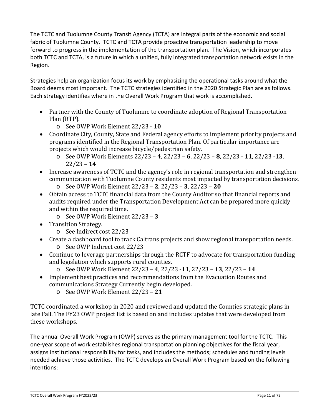The TCTC and Tuolumne County Transit Agency (TCTA) are integral parts of the economic and social fabric of Tuolumne County. TCTC and TCTA provide proactive transportation leadership to move forward to progress in the implementation of the transportation plan. The Vision, which incorporates both TCTC and TCTA, is a future in which a unified, fully integrated transportation network exists in the Region.

Strategies help an organization focus its work by emphasizing the operational tasks around what the Board deems most important. The TCTC strategies identified in the 2020 Strategic Plan are as follows. Each strategy identifies where in the Overall Work Program that work is accomplished.

- Partner with the County of Tuolumne to coordinate adoption of Regional Transportation Plan (RTP).
	- o See OWP Work Element 22/23 **10**
- Coordinate City, County, State and Federal agency efforts to implement priority projects and programs identified in the Regional Transportation Plan. Of particular importance are projects which would increase bicycle/pedestrian safety.
	- o See OWP Work Elements 22/23 **4**, 22/23 **6**, 22/23 **8**, 22/23 **11**, 22/23 -**13**, 22/23 – **14**
- Increase awareness of TCTC and the agency's role in regional transportation and strengthen communication with Tuolumne County residents most impacted by transportation decisions.
	- o See OWP Work Element 22/23 **2**, 22/23 **3**, 22/23 **20**
- Obtain access to TCTC financial data from the County Auditor so that financial reports and audits required under the Transportation Development Act can be prepared more quickly and within the required time.
	- o See OWP Work Element 22/23 **3**
- Transition Strategy.
	- o See Indirect cost 22/23
- Create a dashboard tool to track Caltrans projects and show regional transportation needs. o See OWP Indirect cost 22/23
- Continue to leverage partnerships through the RCTF to advocate for transportation funding and legislation which supports rural counties.
	- o See OWP Work Element 22/23 **4**, 22/23 -**11**, 22/23 **13**, 22/23 **14**
- Implement best practices and recommendations from the Evacuation Routes and communications Strategy Currently begin developed.
	- o See OWP Work Element 22/23 **21**

TCTC coordinated a workshop in 2020 and reviewed and updated the Counties strategic plans in late Fall. The FY23 OWP project list is based on and includes updates that were developed from these workshops.

The annual Overall Work Program (OWP) serves as the primary management tool for the TCTC. This one-year scope of work establishes regional transportation planning objectives for the fiscal year, assigns institutional responsibility for tasks, and includes the methods; schedules and funding levels needed achieve those activities. The TCTC develops an Overall Work Program based on the following intentions: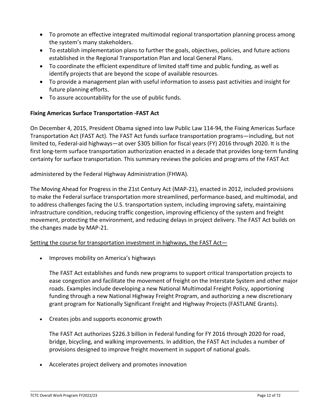- To promote an effective integrated multimodal regional transportation planning process among the system's many stakeholders.
- To establish implementation plans to further the goals, objectives, policies, and future actions established in the Regional Transportation Plan and local General Plans.
- To coordinate the efficient expenditure of limited staff time and public funding, as well as identify projects that are beyond the scope of available resources.
- To provide a management plan with useful information to assess past activities and insight for future planning efforts.
- To assure accountability for the use of public funds.

#### **Fixing Americas Surface Transportation -FAST Act**

On December 4, 2015, President Obama signed into law Public Law 114-94, the Fixing Americas Surface Transportation Act (FAST Act). The FAST Act funds surface transportation programs—including, but not limited to, Federal-aid highways—at over \$305 billion for fiscal years (FY) 2016 through 2020. It is the first long-term surface transportation authorization enacted in a decade that provides long-term funding certainty for surface transportation. This summary reviews the policies and programs of the FAST Act

administered by the Federal Highway Administration (FHWA).

The Moving Ahead for Progress in the 21st Century Act (MAP-21), enacted in 2012, included provisions to make the Federal surface transportation more streamlined, performance-based, and multimodal, and to address challenges facing the U.S. transportation system, including improving safety, maintaining infrastructure condition, reducing traffic congestion, improving efficiency of the system and freight movement, protecting the environment, and reducing delays in project delivery. The FAST Act builds on the changes made by MAP-21.

#### Setting the course for transportation investment in highways, the FAST Act—

• Improves mobility on America's highways

The FAST Act establishes and funds new programs to support critical transportation projects to ease congestion and facilitate the movement of freight on the Interstate System and other major roads. Examples include developing a new National Multimodal Freight Policy, apportioning funding through a new National Highway Freight Program, and authorizing a new discretionary grant program for Nationally Significant Freight and Highway Projects (FASTLANE Grants).

• Creates jobs and supports economic growth

The FAST Act authorizes \$226.3 billion in Federal funding for FY 2016 through 2020 for road, bridge, bicycling, and walking improvements. In addition, the FAST Act includes a number of provisions designed to improve freight movement in support of national goals.

• Accelerates project delivery and promotes innovation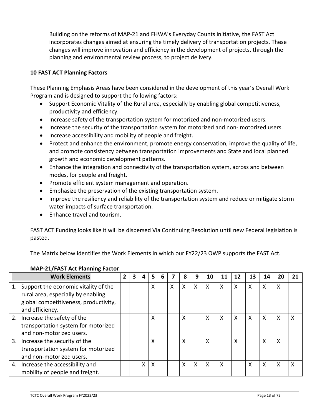Building on the reforms of MAP-21 and FHWA's Everyday Counts initiative, the FAST Act incorporates changes aimed at ensuring the timely delivery of transportation projects. These changes will improve innovation and efficiency in the development of projects, through the planning and environmental review process, to project delivery.

#### **10 FAST ACT Planning Factors**

These Planning Emphasis Areas have been considered in the development of this year's Overall Work Program and is designed to support the following factors:

- Support Economic Vitality of the Rural area, especially by enabling global competitiveness, productivity and efficiency.
- Increase safety of the transportation system for motorized and non-motorized users.
- Increase the security of the transportation system for motorized and non- motorized users.
- Increase accessibility and mobility of people and freight.
- Protect and enhance the environment, promote energy conservation, improve the quality of life, and promote consistency between transportation improvements and State and local planned growth and economic development patterns.
- Enhance the integration and connectivity of the transportation system, across and between modes, for people and freight.
- Promote efficient system management and operation.
- Emphasize the preservation of the existing transportation system.
- Improve the resiliency and reliability of the transportation system and reduce or mitigate storm water impacts of surface transportation.
- Enhance travel and tourism.

FAST ACT Funding looks like it will be dispersed Via Continuing Resolution until new Federal legislation is pasted.

The Matrix below identifies the Work Elements in which our FY22/23 OWP supports the FAST Act.

|    | <b>Work Elements</b>                                                                                                                   | $\mathbf{2}$ | 3 | 4 | 5                         | 6 |   | 8 | 9 | 10           | 11 | 12 | 13 | 14 | 20       | 21 |
|----|----------------------------------------------------------------------------------------------------------------------------------------|--------------|---|---|---------------------------|---|---|---|---|--------------|----|----|----|----|----------|----|
| 1. | Support the economic vitality of the<br>rural area, especially by enabling<br>global competitiveness, productivity,<br>and efficiency. |              |   |   | X                         |   | X | X | X | $\mathsf{X}$ | X  | X  | X  | X  | X        |    |
|    | 2. Increase the safety of the<br>transportation system for motorized<br>and non-motorized users.                                       |              |   |   | X                         |   |   | X |   | X            | X  | X  | X  | X  | $\times$ | X  |
|    | 3. Increase the security of the<br>transportation system for motorized<br>and non-motorized users.                                     |              |   |   | Χ                         |   |   | X |   | X            |    | X  |    | x  | X        |    |
|    | 4. Increase the accessibility and<br>mobility of people and freight.                                                                   |              |   | X | $\boldsymbol{\mathsf{X}}$ |   |   | X | X | $\mathsf{X}$ | X  |    | Χ  | X  | X        | X  |

#### **MAP-21/FAST Act Planning Factor**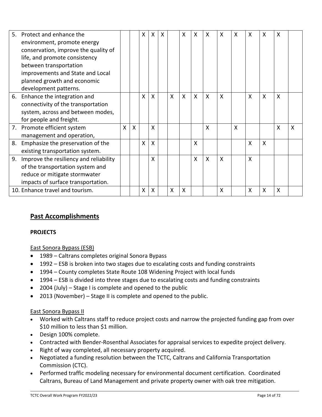| 5. | Protect and enhance the                   |              |   | x | X                         | X |              | X                         | X            | X            | X | X                         | X | X | X                         |                           |
|----|-------------------------------------------|--------------|---|---|---------------------------|---|--------------|---------------------------|--------------|--------------|---|---------------------------|---|---|---------------------------|---------------------------|
|    | environment, promote energy               |              |   |   |                           |   |              |                           |              |              |   |                           |   |   |                           |                           |
|    | conservation, improve the quality of      |              |   |   |                           |   |              |                           |              |              |   |                           |   |   |                           |                           |
|    | life, and promote consistency             |              |   |   |                           |   |              |                           |              |              |   |                           |   |   |                           |                           |
|    | between transportation                    |              |   |   |                           |   |              |                           |              |              |   |                           |   |   |                           |                           |
|    | improvements and State and Local          |              |   |   |                           |   |              |                           |              |              |   |                           |   |   |                           |                           |
|    | planned growth and economic               |              |   |   |                           |   |              |                           |              |              |   |                           |   |   |                           |                           |
|    | development patterns.                     |              |   |   |                           |   |              |                           |              |              |   |                           |   |   |                           |                           |
| 6. | Enhance the integration and               |              |   | X | $\mathsf{X}$              |   | $\mathsf{X}$ | $\mathsf{X}$              | $\mathsf{X}$ | $\mathsf{X}$ | X |                           | X | X | $\sf X$                   |                           |
|    | connectivity of the transportation        |              |   |   |                           |   |              |                           |              |              |   |                           |   |   |                           |                           |
|    | system, across and between modes,         |              |   |   |                           |   |              |                           |              |              |   |                           |   |   |                           |                           |
|    | for people and freight.                   |              |   |   |                           |   |              |                           |              |              |   |                           |   |   |                           |                           |
|    | 7. Promote efficient system               | $\mathsf{X}$ | X |   | $\mathsf{X}$              |   |              |                           |              | $\mathsf{X}$ |   | $\boldsymbol{\mathsf{X}}$ |   |   | X                         | $\boldsymbol{\mathsf{X}}$ |
|    | management and operation,                 |              |   |   |                           |   |              |                           |              |              |   |                           |   |   |                           |                           |
| 8. | Emphasize the preservation of the         |              |   | X | $\boldsymbol{\mathsf{X}}$ |   |              |                           | Χ            |              |   |                           | X | X |                           |                           |
|    | existing transportation system.           |              |   |   |                           |   |              |                           |              |              |   |                           |   |   |                           |                           |
|    | 9. Improve the resiliency and reliability |              |   |   | X                         |   |              |                           | $\mathsf{x}$ | $\mathsf{X}$ | X |                           | X |   |                           |                           |
|    | of the transportation system and          |              |   |   |                           |   |              |                           |              |              |   |                           |   |   |                           |                           |
|    | reduce or mitigate stormwater             |              |   |   |                           |   |              |                           |              |              |   |                           |   |   |                           |                           |
|    | impacts of surface transportation.        |              |   |   |                           |   |              |                           |              |              |   |                           |   |   |                           |                           |
|    | 10. Enhance travel and tourism.           |              |   | X | X                         |   | X            | $\boldsymbol{\mathsf{X}}$ |              |              | X |                           | X | X | $\boldsymbol{\mathsf{X}}$ |                           |

# **Past Accomplishments**

#### **PROJECTS**

#### East Sonora Bypass (ESB)

- 1989 Caltrans completes original Sonora Bypass
- 1992 ESB is broken into two stages due to escalating costs and funding constraints
- 1994 County completes State Route 108 Widening Project with local funds
- 1994 ESB is divided into three stages due to escalating costs and funding constraints
- 2004 (July) Stage I is complete and opened to the public
- 2013 (November) Stage II is complete and opened to the public.

#### East Sonora Bypass II

- Worked with Caltrans staff to reduce project costs and narrow the projected funding gap from over \$10 million to less than \$1 million.
- Design 100% complete.
- Contracted with Bender-Rosenthal Associates for appraisal services to expedite project delivery.
- Right of way completed, all necessary property acquired.
- Negotiated a funding resolution between the TCTC, Caltrans and California Transportation Commission (CTC).
- Performed traffic modeling necessary for environmental document certification. Coordinated Caltrans, Bureau of Land Management and private property owner with oak tree mitigation.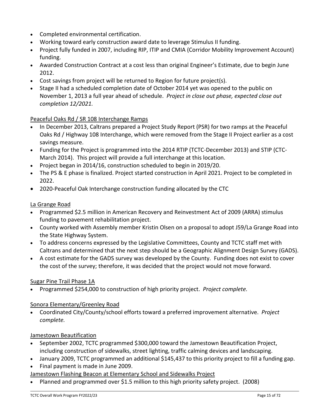- Completed environmental certification.
- Working toward early construction award date to leverage Stimulus II funding.
- Project fully funded in 2007, including RIP, ITIP and CMIA (Corridor Mobility Improvement Account) funding.
- Awarded Construction Contract at a cost less than original Engineer's Estimate, due to begin June 2012.
- Cost savings from project will be returned to Region for future project(s).
- Stage II had a scheduled completion date of October 2014 yet was opened to the public on November 1, 2013 a full year ahead of schedule. *Project in close out phase, expected close out completion 12/2021.*

#### Peaceful Oaks Rd / SR 108 Interchange Ramps

- In December 2013, Caltrans prepared a Project Study Report (PSR) for two ramps at the Peaceful Oaks Rd / Highway 108 Interchange, which were removed from the Stage II Project earlier as a cost savings measure.
- Funding for the Project is programmed into the 2014 RTIP (TCTC-December 2013) and STIP (CTC-March 2014). This project will provide a full interchange at this location.
- Project began in 2014/16, construction scheduled to begin in 2019/20.
- The PS & E phase is finalized. Project started construction in April 2021. Project to be completed in 2022.
- 2020-Peaceful Oak Interchange construction funding allocated by the CTC

#### La Grange Road

- Programmed \$2.5 million in American Recovery and Reinvestment Act of 2009 (ARRA) stimulus funding to pavement rehabilitation project.
- County worked with Assembly member Kristin Olsen on a proposal to adopt J59/La Grange Road into the State Highway System.
- To address concerns expressed by the Legislative Committees, County and TCTC staff met with Caltrans and determined that the next step should be a Geographic Alignment Design Survey (GADS).
- A cost estimate for the GADS survey was developed by the County. Funding does not exist to cover the cost of the survey; therefore, it was decided that the project would not move forward.

#### Sugar Pine Trail Phase 1A

• Programmed \$254,000 to construction of high priority project. *Project complete.*

#### Sonora Elementary/Greenley Road

• Coordinated City/County/school efforts toward a preferred improvement alternative. *Project complete.*

#### Jamestown Beautification

- September 2002, TCTC programmed \$300,000 toward the Jamestown Beautification Project, including construction of sidewalks, street lighting, traffic calming devices and landscaping.
- January 2009, TCTC programmed an additional \$145,437 to this priority project to fill a funding gap.
- Final payment is made in June 2009.

#### Jamestown Flashing Beacon at Elementary School and Sidewalks Project

• Planned and programmed over \$1.5 million to this high priority safety project. (2008)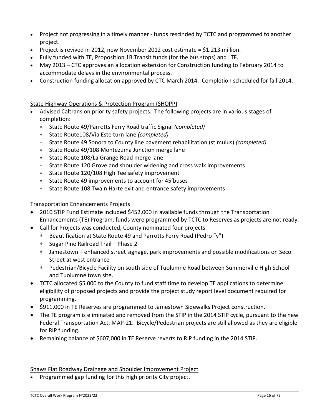- Project not progressing in a timely manner funds rescinded by TCTC and programmed to another project.
- Project is revived in 2012, new November 2012 cost estimate  $=$  \$1.213 million.
- Fully funded with TE, Proposition 1B Transit funds (for the bus stops) and LTF.
- May 2013 CTC approves an allocation extension for Construction funding to February 2014 to accommodate delays in the environmental process.
- Construction funding allocation approved by CTC March 2014. Completion scheduled for fall 2014.

#### State Highway Operations & Protection Program (SHOPP)

- Advised Caltrans on priority safety projects. The following projects are in various stages of completion:
	- ∗ State Route 49/Parrotts Ferry Road traffic Signal *(completed)*
	- ∗ State Route108/Via Este turn lane *(completed)*
	- ∗ State Route 49 Sonora to County line pavement rehabilitation (stimulus) *(completed)*
	- ∗ State Route 49/108 Montezuma Junction merge lane
	- ∗ State Route 108/La Grange Road merge lane
	- ∗ State Route 120 Groveland shoulder widening and cross walk improvements
	- ∗ State Route 120/108 High Tee safety improvement
	- ∗ State Route 49 improvements to account for 45'buses
	- ∗ State Route 108 Twain Harte exit and entrance safety improvements

#### Transportation Enhancements Projects

- 2010 STIP Fund Estimate included \$452,000 in available funds through the Transportation Enhancements (TE) Program, funds were programmed by TCTC to Reserves as projects are not ready.
- Call for Projects was conducted, County nominated four projects.
	- ∗ Beautification at State Route 49 and Parrotts Ferry Road (Pedro "y")
	- ∗ Sugar Pine Railroad Trail Phase 2
	- ∗ Jamestown enhanced street signage, park improvements and possible modifications on Seco Street at west entrance
	- ∗ Pedestrian/Bicycle Facility on south side of Tuolumne Road between Summerville High School and Tuolumne town site.
- TCTC allocated \$5,000 to the County to fund staff time to develop TE applications to determine eligibility of proposed projects and provide the project study report level document required for programming.
- \$911,000 in TE Reserves are programmed to Jamestown Sidewalks Project construction.
- The TE program is eliminated and removed from the STIP in the 2014 STIP cycle, pursuant to the new Federal Transportation Act, MAP-21. Bicycle/Pedestrian projects are still allowed as they are eligible for RIP funding.
- Remaining balance of \$607,000 in TE Reserve reverts to RIP funding in the 2014 STIP.

#### Shaws Flat Roadway Drainage and Shoulder Improvement Project

• Programmed gap funding for this high priority City project.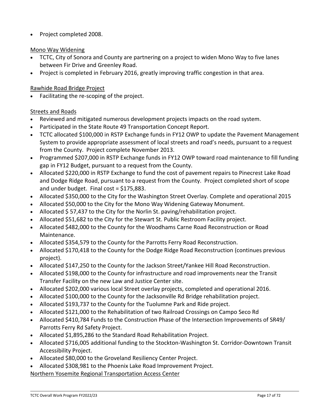• Project completed 2008.

#### Mono Way Widening

- TCTC, City of Sonora and County are partnering on a project to widen Mono Way to five lanes between Fir Drive and Greenley Road.
- Project is completed in February 2016, greatly improving traffic congestion in that area.

#### Rawhide Road Bridge Project

• Facilitating the re-scoping of the project.

#### Streets and Roads

- Reviewed and mitigated numerous development projects impacts on the road system.
- Participated in the State Route 49 Transportation Concept Report.
- TCTC allocated \$100,000 in RSTP Exchange funds in FY12 OWP to update the Pavement Management System to provide appropriate assessment of local streets and road's needs, pursuant to a request from the County. Project complete November 2013.
- Programmed \$207,000 in RSTP Exchange funds in FY12 OWP toward road maintenance to fill funding gap in FY12 Budget, pursuant to a request from the County.
- Allocated \$220,000 in RSTP Exchange to fund the cost of pavement repairs to Pinecrest Lake Road and Dodge Ridge Road, pursuant to a request from the County. Project completed short of scope and under budget. Final cost = \$175,883.
- Allocated \$350,000 to the City for the Washington Street Overlay. Complete and operational 2015
- Allocated \$50,000 to the City for the Mono Way Widening Gateway Monument.
- Allocated \$ 57,437 to the City for the Norlin St. paving/rehabilitation project.
- Allocated \$51,682 to the City for the Stewart St. Public Restroom Facility project.
- Allocated \$482,000 to the County for the Woodhams Carne Road Reconstruction or Road Maintenance.
- Allocated \$354,579 to the County for the Parrotts Ferry Road Reconstruction.
- Allocated \$170,418 to the County for the Dodge Ridge Road Reconstruction (continues previous project).
- Allocated \$147,250 to the County for the Jackson Street/Yankee Hill Road Reconstruction.
- Allocated \$198,000 to the County for infrastructure and road improvements near the Transit Transfer Facility on the new Law and Justice Center site.
- Allocated \$202,000 various local Street overlay projects, completed and operational 2016.
- Allocated \$100,000 to the County for the Jacksonville Rd Bridge rehabilitation project.
- Allocated \$193,737 to the County for the Tuolumne Park and Ride project.
- Allocated \$121,000 to the Rehabilitation of two Railroad Crossings on Campo Seco Rd
- Allocated \$410,784 Funds to the Construction Phase of the Intersection Improvements of SR49/ Parrotts Ferry Rd Safety Project.
- Allocated \$1,895,286 to the Standard Road Rehabilitation Project.
- Allocated \$716,005 additional funding to the Stockton-Washington St. Corridor-Downtown Transit Accessibility Project.
- Allocated \$80,000 to the Groveland Resiliency Center Project.
- Allocated \$308,981 to the Phoenix Lake Road Improvement Project.

Northern Yosemite Regional Transportation Access Center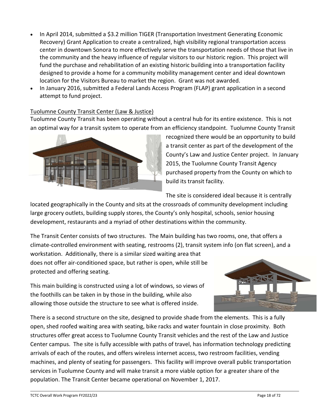- In April 2014, submitted a \$3.2 million TIGER (Transportation Investment Generating Economic Recovery) Grant Application to create a centralized, high visibility regional transportation access center in downtown Sonora to more effectively serve the transportation needs of those that live in the community and the heavy influence of regular visitors to our historic region. This project will fund the purchase and rehabilitation of an existing historic building into a transportation facility designed to provide a home for a community mobility management center and ideal downtown location for the Visitors Bureau to market the region. Grant was not awarded.
- In January 2016, submitted a Federal Lands Access Program (FLAP) grant application in a second attempt to fund project.

#### Tuolumne County Transit Center (Law & Justice)

Tuolumne County Transit has been operating without a central hub for its entire existence. This is not an optimal way for a transit system to operate from an efficiency standpoint. Tuolumne County Transit



recognized there would be an opportunity to build a transit center as part of the development of the County's Law and Justice Center project. In January 2015, the Tuolumne County Transit Agency purchased property from the County on which to build its transit facility.

The site is considered ideal because it is centrally

located geographically in the County and sits at the crossroads of community development including large grocery outlets, building supply stores, the County's only hospital, schools, senior housing development, restaurants and a myriad of other destinations within the community.

The Transit Center consists of two structures. The Main building has two rooms, one, that offers a climate-controlled environment with seating, restrooms (2), transit system info (on flat screen), and a

workstation. Additionally, there is a similar sized waiting area that does not offer air-conditioned space, but rather is open, while still be protected and offering seating.

This main building is constructed using a lot of windows, so views of the foothills can be taken in by those in the building, while also allowing those outside the structure to see what is offered inside.



There is a second structure on the site, designed to provide shade from the elements. This is a fully open, shed roofed waiting area with seating, bike racks and water fountain in close proximity. Both structures offer great access to Tuolumne County Transit vehicles and the rest of the Law and Justice Center campus. The site is fully accessible with paths of travel, has information technology predicting arrivals of each of the routes, and offers wireless internet access, two restroom facilities, vending machines, and plenty of seating for passengers. This facility will improve overall public transportation services in Tuolumne County and will make transit a more viable option for a greater share of the population. The Transit Center became operational on November 1, 2017.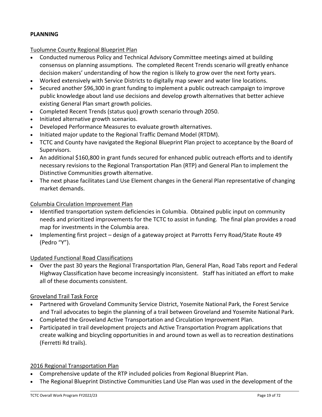#### **PLANNING**

#### Tuolumne County Regional Blueprint Plan

- Conducted numerous Policy and Technical Advisory Committee meetings aimed at building consensus on planning assumptions. The completed Recent Trends scenario will greatly enhance decision makers' understanding of how the region is likely to grow over the next forty years.
- Worked extensively with Service Districts to digitally map sewer and water line locations.
- Secured another \$96,300 in grant funding to implement a public outreach campaign to improve public knowledge about land use decisions and develop growth alternatives that better achieve existing General Plan smart growth policies.
- Completed Recent Trends (status quo) growth scenario through 2050.
- Initiated alternative growth scenarios.
- Developed Performance Measures to evaluate growth alternatives.
- Initiated major update to the Regional Traffic Demand Model (RTDM).
- TCTC and County have navigated the Regional Blueprint Plan project to acceptance by the Board of Supervisors.
- An additional \$160,800 in grant funds secured for enhanced public outreach efforts and to identify necessary revisions to the Regional Transportation Plan (RTP) and General Plan to implement the Distinctive Communities growth alternative.
- The next phase facilitates Land Use Element changes in the General Plan representative of changing market demands.

#### Columbia Circulation Improvement Plan

- Identified transportation system deficiencies in Columbia. Obtained public input on community needs and prioritized improvements for the TCTC to assist in funding. The final plan provides a road map for investments in the Columbia area.
- Implementing first project design of a gateway project at Parrotts Ferry Road/State Route 49 (Pedro "Y").

#### Updated Functional Road Classifications

• Over the past 30 years the Regional Transportation Plan, General Plan, Road Tabs report and Federal Highway Classification have become increasingly inconsistent. Staff has initiated an effort to make all of these documents consistent.

#### Groveland Trail Task Force

- Partnered with Groveland Community Service District, Yosemite National Park, the Forest Service and Trail advocates to begin the planning of a trail between Groveland and Yosemite National Park.
- Completed the Groveland Active Transportation and Circulation Improvement Plan.
- Participated in trail development projects and Active Transportation Program applications that create walking and bicycling opportunities in and around town as well as to recreation destinations (Ferretti Rd trails).

#### 2016 Regional Transportation Plan

- Comprehensive update of the RTP included policies from Regional Blueprint Plan.
- The Regional Blueprint Distinctive Communities Land Use Plan was used in the development of the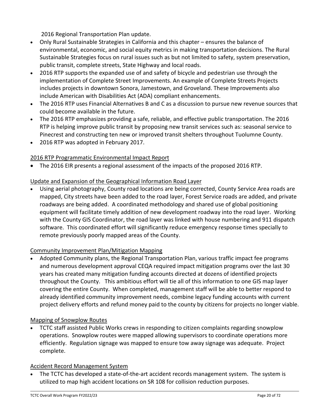2016 Regional Transportation Plan update.

- Only Rural Sustainable Strategies in California and this chapter ensures the balance of environmental, economic, and social equity metrics in making transportation decisions. The Rural Sustainable Strategies focus on rural issues such as but not limited to safety, system preservation, public transit, complete streets, State Highway and local roads.
- 2016 RTP supports the expanded use of and safety of bicycle and pedestrian use through the implementation of Complete Street Improvements. An example of Complete Streets Projects includes projects in downtown Sonora, Jamestown, and Groveland. These Improvements also include American with Disabilities Act (ADA) compliant enhancements.
- The 2016 RTP uses Financial Alternatives B and C as a discussion to pursue new revenue sources that could become available in the future.
- The 2016 RTP emphasizes providing a safe, reliable, and effective public transportation. The 2016 RTP is helping improve public transit by proposing new transit services such as: seasonal service to Pinecrest and constructing ten new or improved transit shelters throughout Tuolumne County.
- 2016 RTP was adopted in February 2017.

#### 2016 RTP Programmatic Environmental Impact Report

• The 2016 EIR presents a regional assessment of the impacts of the proposed 2016 RTP.

#### Update and Expansion of the Geographical Information Road Layer

• Using aerial photography, County road locations are being corrected, County Service Area roads are mapped, City streets have been added to the road layer, Forest Service roads are added, and private roadways are being added. A coordinated methodology and shared use of global positioning equipment will facilitate timely addition of new development roadway into the road layer. Working with the County GIS Coordinator, the road layer was linked with house numbering and 911 dispatch software. This coordinated effort will significantly reduce emergency response times specially to remote previously poorly mapped areas of the County.

#### Community Improvement Plan/Mitigation Mapping

• Adopted Community plans, the Regional Transportation Plan, various traffic impact fee programs and numerous development approval CEQA required impact mitigation programs over the last 30 years has created many mitigation funding accounts directed at dozens of identified projects throughout the County. This ambitious effort will tie all of this information to one GIS map layer covering the entire County. When completed, management staff will be able to better respond to already identified community improvement needs, combine legacy funding accounts with current project delivery efforts and refund money paid to the county by citizens for projects no longer viable.

#### Mapping of Snowplow Routes

• TCTC staff assisted Public Works crews in responding to citizen complaints regarding snowplow operations. Snowplow routes were mapped allowing supervisors to coordinate operations more efficiently. Regulation signage was mapped to ensure tow away signage was adequate. Project complete.

#### Accident Record Management System

The TCTC has developed a state-of-the-art accident records management system. The system is utilized to map high accident locations on SR 108 for collision reduction purposes.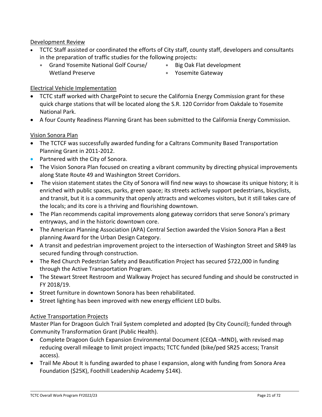Development Review

- TCTC Staff assisted or coordinated the efforts of City staff, county staff, developers and consultants in the preparation of traffic studies for the following projects:
	- ∗ Grand Yosemite National Golf Course/ Wetland Preserve
- ∗ Big Oak Flat development
- ∗ Yosemite Gateway

#### Electrical Vehicle Implementation

- TCTC staff worked with ChargePoint to secure the California Energy Commission grant for these quick charge stations that will be located along the S.R. 120 Corridor from Oakdale to Yosemite National Park.
- A four County Readiness Planning Grant has been submitted to the California Energy Commission.

#### Vision Sonora Plan

- The TCTCF was successfully awarded funding for a Caltrans Community Based Transportation Planning Grant in 2011-2012.
- Partnered with the City of Sonora.
- The Vision Sonora Plan focused on creating a vibrant community by directing physical improvements along State Route 49 and Washington Street Corridors.
- The vision statement states the City of Sonora will find new ways to showcase its unique history; it is enriched with public spaces, parks, green space; its streets actively support pedestrians, bicyclists, and transit, but it is a community that openly attracts and welcomes visitors, but it still takes care of the locals; and its core is a thriving and flourishing downtown.
- The Plan recommends capital improvements along gateway corridors that serve Sonora's primary entryways, and in the historic downtown core.
- The American Planning Association (APA) Central Section awarded the Vision Sonora Plan a Best planning Award for the Urban Design Category.
- A transit and pedestrian improvement project to the intersection of Washington Street and SR49 las secured funding through construction.
- The Red Church Pedestrian Safety and Beautification Project has secured \$722,000 in funding through the Active Transportation Program.
- The Stewart Street Restroom and Walkway Project has secured funding and should be constructed in FY 2018/19.
- Street furniture in downtown Sonora has been rehabilitated.
- Street lighting has been improved with new energy efficient LED bulbs.

#### Active Transportation Projects

Master Plan for Dragoon Gulch Trail System completed and adopted (by City Council); funded through Community Transformation Grant (Public Health).

- Complete Dragoon Gulch Expansion Environmental Document (CEQA –MND), with revised map reducing overall mileage to limit project impacts; TCTC funded (bike/ped SR25 access; Transit access).
- Trail Me About It is funding awarded to phase I expansion, along with funding from Sonora Area Foundation (\$25K), Foothill Leadership Academy \$14K).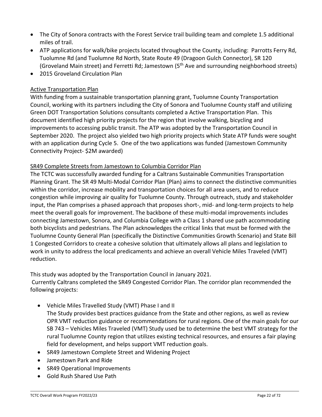- The City of Sonora contracts with the Forest Service trail building team and complete 1.5 additional miles of trail.
- ATP applications for walk/bike projects located throughout the County, including: Parrotts Ferry Rd, Tuolumne Rd (and Tuolumne Rd North, State Route 49 (Dragoon Gulch Connector), SR 120 (Groveland Main street) and Ferretti Rd; Jamestown (5th Ave and surrounding neighborhood streets)
- 2015 Groveland Circulation Plan

#### Active Transportation Plan

With funding from a sustainable transportation planning grant, Tuolumne County Transportation Council, working with its partners including the City of Sonora and Tuolumne County staff and utilizing Green DOT Transportation Solutions consultants completed a Active Transportation Plan. This document identified high priority projects for the region that involve walking, bicycling and improvements to accessing public transit. The ATP was adopted by the Transportation Council in September 2020. The project also yielded two high priority projects which State ATP funds were sought with an application during Cycle 5. One of the two applications was funded (Jamestown Community Connectivity Project- \$2M awarded)

#### SR49 Complete Streets from Jamestown to Columbia Corridor Plan

The TCTC was successfully awarded funding for a Caltrans Sustainable Communities Transportation Planning Grant. The SR 49 Multi-Modal Corridor Plan (Plan) aims to connect the distinctive communities within the corridor, increase mobility and transportation choices for all area users, and to reduce congestion while improving air quality for Tuolumne County. Through outreach, study and stakeholder input, the Plan comprises a phased approach that proposes short-, mid- and long-term projects to help meet the overall goals for improvement. The backbone of these multi-modal improvements includes connecting Jamestown, Sonora, and Columbia College with a Class 1 shared use path accommodating both bicyclists and pedestrians. The Plan acknowledges the critical links that must be formed with the Tuolumne County General Plan (specifically the Distinctive Communities Growth Scenario) and State Bill 1 Congested Corridors to create a cohesive solution that ultimately allows all plans and legislation to work in unity to address the local predicaments and achieve an overall Vehicle Miles Traveled (VMT) reduction.

This study was adopted by the Transportation Council in January 2021.

Currently Caltrans completed the SR49 Congested Corridor Plan. The corridor plan recommended the following projects:

- Vehicle Miles Travelled Study (VMT) Phase I and II
- The Study provides best practices guidance from the State and other regions, as well as review OPR VMT reduction guidance or recommendations for rural regions. One of the main goals for our SB 743 – Vehicles Miles Traveled (VMT) Study used be to determine the best VMT strategy for the rural Tuolumne County region that utilizes existing technical resources, and ensures a fair playing field for development, and helps support VMT reduction goals.
- SR49 Jamestown Complete Street and Widening Project
- Jamestown Park and Ride
- SR49 Operational Improvements
- Gold Rush Shared Use Path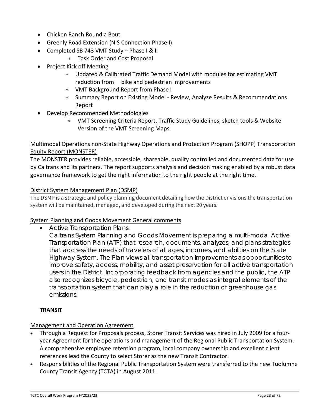- Chicken Ranch Round a Bout
- Greenly Road Extension (N.S Connection Phase I)
- Completed SB 743 VMT Study Phase I & II
	- ∗ Task Order and Cost Proposal
- Project Kick off Meeting
	- ∗ Updated & Calibrated Traffic Demand Model with modules for estimating VMT reduction from bike and pedestrian improvements
	- ∗ VMT Background Report from Phase I
	- ∗ Summary Report on Existing Model Review, Analyze Results & Recommendations Report
- Develop Recommended Methodologies
	- ∗ VMT Screening Criteria Report, Traffic Study Guidelines, sketch tools & Website Version of the VMT Screening Maps

#### Multimodal Operations non-State Highway Operations and Protection Program (SHOPP) Transportation Equity Report (MONSTER)

The MONSTER provides reliable, accessible, shareable, quality controlled and documented data for use by Caltrans and its partners. The report supports analysis and decision making enabled by a robust data governance framework to get the right information to the right people at the right time.

#### District System Management Plan (DSMP)

The DSMP is a strategic and policy planning document detailing how the District envisions the transportation system will be maintained, managed, and developed during the next 20 years.

#### System Planning and Goods Movement General comments

• Active Transportation Plans:

Caltrans System Planning and Goods Movement is preparing a multi-modal Active Transportation Plan (ATP) that research, documents, analyzes, and plans strategies that address the needs of travelers of all ages, incomes, and abilities on the State Highway System. The Plan views all transportation improvements as opportunities to improve safety, access, mobility, and asset preservation for all active transportation users in the District. Incorporating feedback from agencies and the public, the ATP also recognizes bicycle, pedestrian, and transit modes as integral elements of the transportation system that can play a role in the reduction of greenhouse gas emissions.

#### **TRANSIT**

#### Management and Operation Agreement

- Through a Request for Proposals process, Storer Transit Services was hired in July 2009 for a fouryear Agreement for the operations and management of the Regional Public Transportation System. A comprehensive employee retention program, local company ownership and excellent client references lead the County to select Storer as the new Transit Contractor.
- Responsibilities of the Regional Public Transportation System were transferred to the new Tuolumne County Transit Agency (TCTA) in August 2011.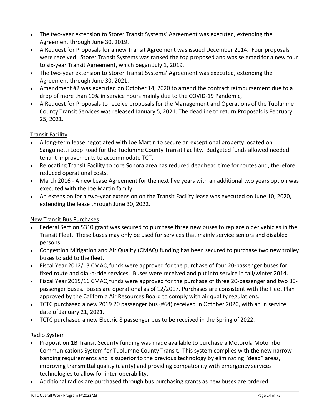- The two-year extension to Storer Transit Systems' Agreement was executed, extending the Agreement through June 30, 2019.
- A Request for Proposals for a new Transit Agreement was issued December 2014. Four proposals were received. Storer Transit Systems was ranked the top proposed and was selected for a new four to six-year Transit Agreement, which began July 1, 2019.
- The two-year extension to Storer Transit Systems' Agreement was executed, extending the Agreement through June 30, 2021.
- Amendment #2 was executed on October 14, 2020 to amend the contract reimbursement due to a drop of more than 10% in service hours mainly due to the COVID-19 Pandemic,
- A Request for Proposals to receive proposals for the Management and Operations of the Tuolumne County Transit Services was released January 5, 2021. The deadline to return Proposals is February 25, 2021.

#### Transit Facility

- A long-term lease negotiated with Joe Martin to secure an exceptional property located on Sanguinetti Loop Road for the Tuolumne County Transit Facility. Budgeted funds allowed needed tenant improvements to accommodate TCT.
- Relocating Transit Facility to core Sonora area has reduced deadhead time for routes and, therefore, reduced operational costs.
- March 2016 A new Lease Agreement for the next five years with an additional two years option was executed with the Joe Martin family.
- An extension for a two-year extension on the Transit Facility lease was executed on June 10, 2020, extending the lease through June 30, 2022.

#### New Transit Bus Purchases

- Federal Section 5310 grant was secured to purchase three new buses to replace older vehicles in the Transit Fleet. These buses may only be used for services that mainly service seniors and disabled persons.
- Congestion Mitigation and Air Quality (CMAQ) funding has been secured to purchase two new trolley buses to add to the fleet.
- Fiscal Year 2012/13 CMAQ funds were approved for the purchase of four 20-passenger buses for fixed route and dial-a-ride services. Buses were received and put into service in fall/winter 2014.
- Fiscal Year 2015/16 CMAQ funds were approved for the purchase of three 20-passenger and two 30 passenger buses. Buses are operational as of 12/2017. Purchases are consistent with the Fleet Plan approved by the California Air Resources Board to comply with air quality regulations.
- TCTC purchased a new 2019 20 passenger bus (#64) received in October 2020, with an in service date of January 21, 2021.
- TCTC purchased a new Electric 8 passenger bus to be received in the Spring of 2022.

#### Radio System

- Proposition 1B Transit Security funding was made available to purchase a Motorola MotoTrbo Communications System for Tuolumne County Transit. This system complies with the new narrowbanding requirements and is superior to the previous technology by eliminating "dead" areas, improving transmittal quality (clarity) and providing compatibility with emergency services technologies to allow for inter-operability.
- Additional radios are purchased through bus purchasing grants as new buses are ordered.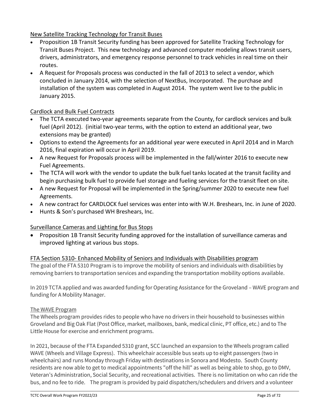#### New Satellite Tracking Technology for Transit Buses

- Proposition 1B Transit Security funding has been approved for Satellite Tracking Technology for Transit Buses Project. This new technology and advanced computer modeling allows transit users, drivers, administrators, and emergency response personnel to track vehicles in real time on their routes.
- A Request for Proposals process was conducted in the fall of 2013 to select a vendor, which concluded in January 2014, with the selection of NextBus, Incorporated. The purchase and installation of the system was completed in August 2014. The system went live to the public in January 2015.

#### Cardlock and Bulk Fuel Contracts

- The TCTA executed two-year agreements separate from the County, for cardlock services and bulk fuel (April 2012). (initial two-year terms, with the option to extend an additional year, two extensions may be granted)
- Options to extend the Agreements for an additional year were executed in April 2014 and in March 2016, final expiration will occur in April 2019.
- A new Request for Proposals process will be implemented in the fall/winter 2016 to execute new Fuel Agreements.
- The TCTA will work with the vendor to update the bulk fuel tanks located at the transit facility and begin purchasing bulk fuel to provide fuel storage and fueling services for the transit fleet on site.
- A new Request for Proposal will be implemented in the Spring/summer 2020 to execute new fuel Agreements.
- A new contract for CARDLOCK fuel services was enter into with W.H. Breshears, Inc. in June of 2020.
- Hunts & Son's purchased WH Breshears, Inc.

#### Surveillance Cameras and Lighting for Bus Stops

• Proposition 1B Transit Security funding approved for the installation of surveillance cameras and improved lighting at various bus stops.

#### FTA Section 5310- Enhanced Mobility of Seniors and Individuals with Disabilities program

The goal of the FTA 5310 Program is to improve the mobility of seniors and individuals with disabilities by removing barriers to transportation services and expanding the transportation mobility options available.

In 2019 TCTA applied and was awarded funding for Operating Assistance for the Groveland – WAVE program and funding for A Mobility Manager.

#### The WAVE Program

The Wheels program provides rides to people who have no drivers in their household to businesses within Groveland and Big Oak Flat (Post Office, market, mailboxes, bank, medical clinic, PT office, etc.) and to The Little House for exercise and enrichment programs.

In 2021, because of the FTA Expanded 5310 grant, SCC launched an expansion to the Wheels program called WAVE (Wheels and Village Express). This wheelchair accessible bus seats up to eight passengers (two in wheelchairs) and runs Monday through Friday with destinations in Sonora and Modesto. South County residents are now able to get to medical appointments "off the hill" as well as being able to shop, go to DMV, Veteran's Administration, Social Security, and recreational activities. There is no limitation on who can ride the bus, and no fee to ride. The program is provided by paid dispatchers/schedulers and drivers and a volunteer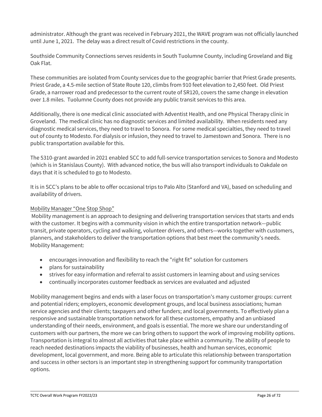administrator. Although the grant was received in February 2021, the WAVE program was not officially launched until June 1, 2021. The delay was a direct result of Covid restrictions in the county.

Southside Community Connections serves residents in South Tuolumne County, including Groveland and Big Oak Flat.

These communities are isolated from County services due to the geographic barrier that Priest Grade presents. Priest Grade, a 4.5-mile section of State Route 120, climbs from 910 feet elevation to 2,450 feet. Old Priest Grade, a narrower road and predecessor to the current route of SR120, covers the same change in elevation over 1.8 miles. Tuolumne County does not provide any public transit services to this area.

Additionally, there is one medical clinic associated with Adventist Health, and one Physical Therapy clinic in Groveland. The medical clinic has no diagnostic services and limited availability. When residents need any diagnostic medical services, they need to travel to Sonora. For some medical specialties, they need to travel out of county to Modesto. For dialysis or infusion, they need to travel to Jamestown and Sonora. There is no public transportation available for this.

The 5310-grant awarded in 2021 enabled SCC to add full-service transportation services to Sonora and Modesto (which is in Stanislaus County). With advanced notice, the bus will also transport individuals to Oakdale on days that it is scheduled to go to Modesto.

It is in SCC's plans to be able to offer occasional trips to Palo Alto (Stanford and VA), based on scheduling and availability of drivers.

#### Mobility Manager "One Stop Shop"

Mobility management is an approach to designing and delivering transportation services that starts and ends with the customer. It begins with a community vision in which the entire transportation network—public transit, private operators, cycling and walking, volunteer drivers, and others—works together with customers, planners, and stakeholders to deliver the transportation options that best meet the community's needs. Mobility Management:

- encourages innovation and flexibility to reach the "right fit" solution for customers
- plans for sustainability
- strives for easy information and referral to assist customers in learning about and using services
- continually incorporates customer feedback as services are evaluated and adjusted

Mobility management begins and ends with a laser focus on transportation's many customer groups: current and potential riders; employers, economic development groups, and local business associations; human service agencies and their clients; taxpayers and other funders; and local governments. To effectively plan a responsive and sustainable transportation network for all these customers, empathy and an unbiased understanding of their needs, environment, and goals is essential. The more we share our understanding of customers with our partners, the more we can bring others to support the work of improving mobility options. Transportation is integral to almost all activities that take place within a community. The ability of people to reach needed destinations impacts the viability of businesses, health and human services, economic development, local government, and more. Being able to articulate this relationship between transportation and success in other sectors is an important step in strengthening support for community transportation options.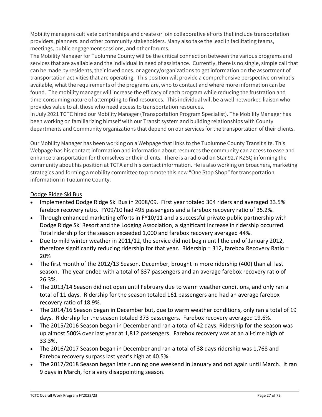Mobility managers cultivate partnerships and create or join collaborative efforts that include transportation providers, planners, and other community stakeholders. Many also take the lead in facilitating teams, meetings, public engagement sessions, and other forums.

The Mobility Manager for Tuolumne County will be the critical connection between the various programs and services that are available and the individual in need of assistance. Currently, there is no single, simple call that can be made by residents, their loved ones, or agency/organizations to get information on the assortment of transportation activities that are operating. This position will provide a comprehensive perspective on what's available, what the requirements of the programs are, who to contact and where more information can be found. The mobility manager will increase the efficacy of each program while reducing the frustration and time-consuming nature of attempting to find resources. This individual will be a well networked liaison who provides value to all those who need access to transportation resources.

In July 2021 TCTC hired our Mobility Manager (Transportation Program Specialist). The Mobility Manager has been working on familiarizing himself with our Transit system and building relationships with County departments and Community organizations that depend on our services for the transportation of their clients.

Our Mobility Manager has been working on a Webpage that links to the Tuolumne County Transit site. This Webpage has his contact information and information about resources the community can access to ease and enhance transportation for themselves or their clients. There is a radio ad on Star 92.7 KZSQ informing the community about his position at TCTA and his contact information. He is also working on broachers, marketing strategies and forming a mobility committee to promote this new "One Stop Shop" for transportation information in Tuolumne County.

#### Dodge Ridge Ski Bus

- Implemented Dodge Ridge Ski Bus in 2008/09. First year totaled 304 riders and averaged 33.5% farebox recovery ratio. FY09/10 had 495 passengers and a farebox recovery ratio of 35.2%.
- Through enhanced marketing efforts in FY10/11 and a successful private-public partnership with Dodge Ridge Ski Resort and the Lodging Association, a significant increase in ridership occurred. Total ridership for the season exceeded 1,000 and farebox recovery averaged 44%.
- Due to mild winter weather in 2011/12, the service did not begin until the end of January 2012, therefore significantly reducing ridership for that year. Ridership = 312, farebox Recovery Ratio = 20%
- The first month of the 2012/13 Season, December, brought in more ridership (400) than all last season. The year ended with a total of 837 passengers and an average farebox recovery ratio of 26.3%.
- The 2013/14 Season did not open until February due to warm weather conditions, and only ran a total of 11 days. Ridership for the season totaled 161 passengers and had an average farebox recovery ratio of 18.9%.
- The 2014/16 Season began in December but, due to warm weather conditions, only ran a total of 19 days. Ridership for the season totaled 373 passengers. Farebox recovery averaged 19.6%.
- The 2015/2016 Season began in December and ran a total of 42 days. Ridership for the season was up almost 500% over last year at 1,812 passengers. Farebox recovery was at an all-time high of 33.3%.
- The 2016/2017 Season began in December and ran a total of 38 days ridership was 1,768 and Farebox recovery surpass last year's high at 40.5%.
- The 2017/2018 Season began late running one weekend in January and not again until March. It ran 9 days in March, for a very disappointing season.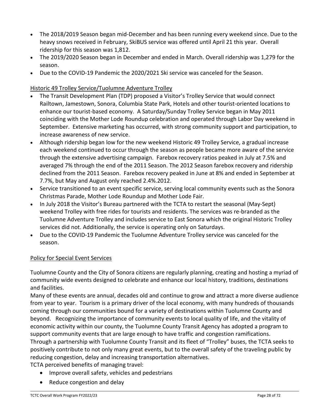- The 2018/2019 Season began mid-December and has been running every weekend since. Due to the heavy snows received in February, SkiBUS service was offered until April 21 this year. Overall ridership for this season was 1,812.
- The 2019/2020 Season began in December and ended in March. Overall ridership was 1,279 for the season.
- Due to the COVID-19 Pandemic the 2020/2021 Ski service was canceled for the Season.

#### Historic 49 Trolley Service/Tuolumne Adventure Trolley

- The Transit Development Plan (TDP) proposed a Visitor's Trolley Service that would connect Railtown, Jamestown, Sonora, Columbia State Park, Hotels and other tourist-oriented locations to enhance our tourist-based economy. A Saturday/Sunday Trolley Service began in May 2011 coinciding with the Mother Lode Roundup celebration and operated through Labor Day weekend in September. Extensive marketing has occurred, with strong community support and participation, to increase awareness of new service.
- Although ridership began low for the new weekend Historic 49 Trolley Service, a gradual increase each weekend continued to occur through the season as people became more aware of the service through the extensive advertising campaign. Farebox recovery ratios peaked in July at 7.5% and averaged 7% through the end of the 2011 Season. The 2012 Season farebox recovery and ridership declined from the 2011 Season. Farebox recovery peaked in June at 8% and ended in September at 7.7%, but May and August only reached 2.4%.2012.
- Service transitioned to an event specific service, serving local community events such as the Sonora Christmas Parade, Mother Lode Roundup and Mother Lode Fair.
- In July 2018 the Visitor's Bureau partnered with the TCTA to restart the seasonal (May-Sept) weekend Trolley with free rides for tourists and residents. The services was re-branded as the Tuolumne Adventure Trolley and includes service to East Sonora which the original Historic Trolley services did not. Additionally, the service is operating only on Saturdays.
- Due to the COVID-19 Pandemic the Tuolumne Adventure Trolley service was canceled for the season.

#### Policy for Special Event Services

Tuolumne County and the City of Sonora citizens are regularly planning, creating and hosting a myriad of community wide events designed to celebrate and enhance our local history, traditions, destinations and facilities.

Many of these events are annual, decades old and continue to grow and attract a more diverse audience from year to year. Tourism is a primary driver of the local economy, with many hundreds of thousands coming through our communities bound for a variety of destinations within Tuolumne County and beyond. Recognizing the importance of community events to local quality of life, and the vitality of economic activity within our county, the Tuolumne County Transit Agency has adopted a program to support community events that are large enough to have traffic and congestion ramifications. Through a partnership with Tuolumne County Transit and its fleet of "Trolley" buses, the TCTA seeks to positively contribute to not only many great events, but to the overall safety of the traveling public by reducing congestion, delay and increasing transportation alternatives.

- TCTA perceived benefits of managing travel:
	- Improve overall safety, vehicles and pedestrians
	- Reduce congestion and delay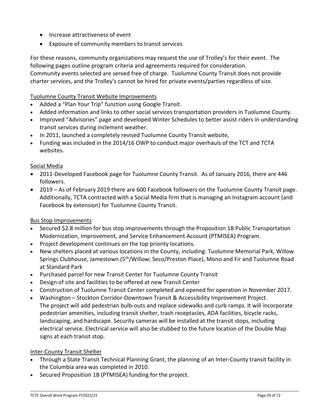- Increase attractiveness of event
- Exposure of community members to transit services

For these reasons, community organizations may request the use of Trolley's for their event. The following pages outline program criteria and agreements required for consideration. Community events selected are served free of charge. Tuolumne County Transit does not provide charter services, and the Trolley's cannot be hired for private events/parties regardless of size.

#### Tuolumne County Transit Website Improvements

- Added a "Plan Your Trip" function using Google Transit.
- Added information and links to other social services transportation providers in Tuolumne County.
- Improved "Advisories" page and developed Winter Schedules to better assist riders in understanding transit services during inclement weather.
- In 2011, launched a completely revised Tuolumne County Transit website,
- Funding was included in the 2014/16 OWP to conduct major overhauls of the TCT and TCTA websites.

#### Social Media

- 2011-Developed Facebook page for Tuolumne County Transit. As of January 2016, there are 446 followers.
- 2019 As of February 2019 there are 600 Facebook followers on the Tuolumne County Transit page. Additionally, TCTA contracted with a Social Media firm that is managing an Instagram account (and Facebook by extension) for Tuolumne County Transit.

#### Bus Stop Improvements

- Secured \$2.8 million for bus stop improvements through the Proposition 1B Public Transportation Modernization, Improvement, and Service Enhancement Account (PTMISEA) Program.
- Project development continues on the top priority locations.
- New shelters placed at various locations in the County, including: Tuolumne Memorial Park, Willow Springs Clubhouse, Jamestown (5<sup>th</sup>/Willow; Seco/Preston Place), Mono and Fir and Tuolumne Road at Standard Park
- Purchased parcel for new Transit Center for Tuolumne County Transit
- Design of site and facilities to be offered at new Transit Center
- Construction of Tuolumne Transit Center completed and opened for operation in November 2017.
- Washington Stockton Corridor-Downtown Transit & Accessibility Improvement Project. The project will add pedestrian bulb-outs and replace sidewalks and curb ramps. It will incorporate pedestrian amenities, including transit shelter, trash receptacles, ADA facilities, bicycle racks, landscaping, and hardscape. Security cameras will be installed at the transit stops, including electrical service. Electrical service will also be stubbed to the future location of the Double Map signs at each transit stop.

#### Inter-County Transit Shelter

- Through a State Transit Technical Planning Grant, the planning of an Inter-County transit facility in the Columbia area was completed in 2010.
- Secured Proposition 1B (PTMISEA) funding for the project.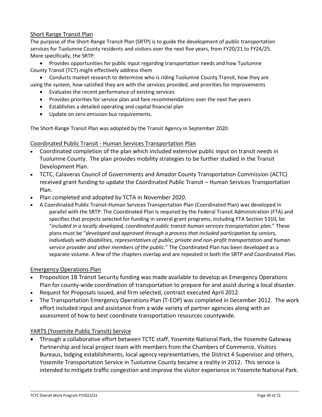#### Short Range Transit Plan

The purpose of the Short-Range Transit Plan (SRTP) is to guide the development of public transportation services for Tuolumne County residents and visitors over the next five years, from FY20/21 to FY24/25. More specifically, the SRTP:

• Provides opportunities for public input regarding transportation needs and how Tuolumne County Transit (TCT) might effectively address them

• Conducts market research to determine who is riding Tuolumne County Transit, how they are using the system, how satisfied they are with the services provided, and priorities for improvements

- Evaluates the recent performance of existing services
- Provides priorities for service plan and fare recommendations over the next five years
- Establishes a detailed operating and capital financial plan
- Update on zero emission bus requirements.

The Short-Range Transit Plan was adopted by the Transit Agency in September 2020.

#### Coordinated Public Transit - Human Services Transportation Plan

- Coordinated completion of the plan which included extensive public input on transit needs in Tuolumne County. The plan provides mobility strategies to be further studied in the Transit Development Plan.
- TCTC, Calaveras Council of Governments and Amador County Transportation Commission (ACTC) received grant funding to update the Coordinated Public Transit – Human Services Transportation Plan.
- Plan completed and adopted by TCTA in November 2020.
- A Coordinated Public Transit-Human Services Transportation Plan (Coordinated Plan) was developed in parallel with the SRTP. The Coordinated Plan is required by the Federal Transit Administration (FTA) and specifies that projects selected for funding in several grant programs, including FTA Section 5310, be "*included in a locally developed, coordinated public transit-human services transportation plan.*" These plans must be "*developed and approved through a process that included participation by seniors, individuals with disabilities, representatives of public, private and non-profit transportation and human service provider and other members of the public.*" The Coordinated Plan has been developed as a separate volume. A few of the chapters overlap and are repeated in both the SRTP and Coordinated Plan.

#### Emergency Operations Plan

- Proposition 1B Transit Security funding was made available to develop an Emergency Operations Plan for county-wide coordination of transportation to prepare for and assist during a local disaster.
- Request for Proposals issued, and firm selected, contract executed April 2012.
- The Transportation Emergency Operations Plan (T-EOP) was completed in December 2012. The work effort included input and assistance from a wide variety of partner agencies along with an assessment of how to best coordinate transportation resources countywide.

#### YARTS (Yosemite Public Transit) Service

• Through a collaborative effort between TCTC staff, Yosemite National Park, the Yosemite Gateway Partnership and local project team with members from the Chambers of Commerce, Visitors Bureaus, lodging establishments, local agency representatives, the District 4 Supervisor and others, Yosemite Transportation Service in Tuolumne County became a reality in 2012. This service is intended to mitigate traffic congestion and improve the visitor experience in Yosemite National Park.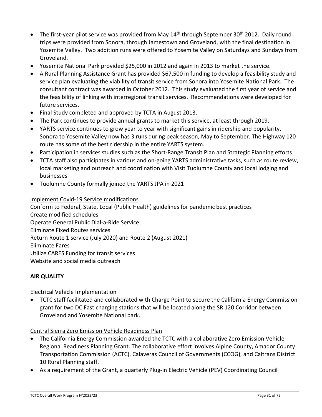- The first-year pilot service was provided from May 14<sup>th</sup> through September 30<sup>th</sup> 2012. Daily round trips were provided from Sonora, through Jamestown and Groveland, with the final destination in Yosemite Valley. Two addition runs were offered to Yosemite Valley on Saturdays and Sundays from Groveland.
- Yosemite National Park provided \$25,000 in 2012 and again in 2013 to market the service.
- A Rural Planning Assistance Grant has provided \$67,500 in funding to develop a feasibility study and service plan evaluating the viability of transit service from Sonora into Yosemite National Park. The consultant contract was awarded in October 2012. This study evaluated the first year of service and the feasibility of linking with interregional transit services. Recommendations were developed for future services.
- Final Study completed and approved by TCTA in August 2013.
- The Park continues to provide annual grants to market this service, at least through 2019.
- YARTS service continues to grow year to year with significant gains in ridership and popularity. Sonora to Yosemite Valley now has 3 runs during peak season, May to September. The Highway 120 route has some of the best ridership in the entire YARTS system.
- Participation in services studies such as the Short-Range Transit Plan and Strategic Planning efforts
- TCTA staff also participates in various and on-going YARTS administrative tasks, such as route review, local marketing and outreach and coordination with Visit Tuolumne County and local lodging and businesses
- Tuolumne County formally joined the YARTS JPA in 2021

#### Implement Covid-19 Service modifications

Conform to Federal, State, Local (Public Health) guidelines for pandemic best practices Create modified schedules Operate General Public Dial-a-Ride Service Eliminate Fixed Routes services Return Route 1 service (July 2020) and Route 2 (August 2021) Eliminate Fares Utilize CARES Funding for transit services Website and social media outreach

#### **AIR QUALITY**

Electrical Vehicle Implementation

• TCTC staff facilitated and collaborated with Charge Point to secure the California Energy Commission grant for two DC Fast charging stations that will be located along the SR 120 Corridor between Groveland and Yosemite National park.

Central Sierra Zero Emission Vehicle Readiness Plan

- The California Energy Commission awarded the TCTC with a collaborative Zero Emission Vehicle Regional Readiness Planning Grant. The collaborative effort involves Alpine County, Amador County Transportation Commission (ACTC), Calaveras Council of Governments (CCOG), and Caltrans District 10 Rural Planning staff.
- As a requirement of the Grant, a quarterly Plug-in Electric Vehicle (PEV) Coordinating Council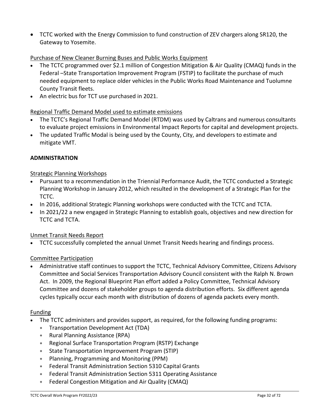• TCTC worked with the Energy Commission to fund construction of ZEV chargers along SR120, the Gateway to Yosemite.

#### Purchase of New Cleaner Burning Buses and Public Works Equipment

- The TCTC programmed over \$2.1 million of Congestion Mitigation & Air Quality (CMAQ) funds in the Federal –State Transportation Improvement Program (FSTIP) to facilitate the purchase of much needed equipment to replace older vehicles in the Public Works Road Maintenance and Tuolumne County Transit fleets.
- An electric bus for TCT use purchased in 2021.

#### Regional Traffic Demand Model used to estimate emissions

- The TCTC's Regional Traffic Demand Model (RTDM) was used by Caltrans and numerous consultants to evaluate project emissions in Environmental Impact Reports for capital and development projects.
- The updated Traffic Modal is being used by the County, City, and developers to estimate and mitigate VMT.

#### **ADMINISTRATION**

#### Strategic Planning Workshops

- Pursuant to a recommendation in the Triennial Performance Audit, the TCTC conducted a Strategic Planning Workshop in January 2012, which resulted in the development of a Strategic Plan for the TCTC.
- In 2016, additional Strategic Planning workshops were conducted with the TCTC and TCTA.
- In 2021/22 a new engaged in Strategic Planning to establish goals, objectives and new direction for TCTC and TCTA.

#### Unmet Transit Needs Report

• TCTC successfully completed the annual Unmet Transit Needs hearing and findings process.

#### Committee Participation

• Administrative staff continues to support the TCTC, Technical Advisory Committee, Citizens Advisory Committee and Social Services Transportation Advisory Council consistent with the Ralph N. Brown Act. In 2009, the Regional Blueprint Plan effort added a Policy Committee, Technical Advisory Committee and dozens of stakeholder groups to agenda distribution efforts. Six different agenda cycles typically occur each month with distribution of dozens of agenda packets every month.

#### Funding

- The TCTC administers and provides support, as required, for the following funding programs:
	- ∗ Transportation Development Act (TDA)
	- ∗ Rural Planning Assistance (RPA)
	- ∗ Regional Surface Transportation Program (RSTP) Exchange
	- ∗ State Transportation Improvement Program (STIP)
	- ∗ Planning, Programming and Monitoring (PPM)
	- ∗ Federal Transit Administration Section 5310 Capital Grants
	- ∗ Federal Transit Administration Section 5311 Operating Assistance
	- ∗ Federal Congestion Mitigation and Air Quality (CMAQ)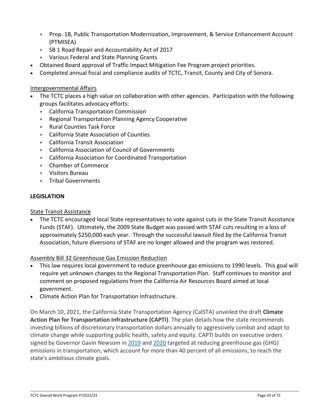- ∗ Prop. 1B, Public Transportation Modernization, Improvement, & Service Enhancement Account (PTMISEA)
- ∗ SB 1 Road Repair and Accountability Act of 2017
- ∗ Various Federal and State Planning Grants
- Obtained Board approval of Traffic Impact Mitigation Fee Program project priorities.
- Completed annual fiscal and compliance audits of TCTC, Transit, County and City of Sonora.

#### Intergovernmental Affairs

- The TCTC places a high value on collaboration with other agencies. Participation with the following groups facilitates advocacy efforts:
	- ∗ California Transportation Commission
	- ∗ Regional Transportation Planning Agency Cooperative
	- ∗ Rural Counties Task Force
	- ∗ California State Association of Counties
	- ∗ California Transit Association
	- ∗ California Association of Council of Governments
	- ∗ California Association for Coordinated Transportation
	- ∗ Chamber of Commerce
	- ∗ Visitors Bureau
	- ∗ Tribal Governments

#### **LEGISLATION**

#### State Transit Assistance

• The TCTC encouraged local State representatives to vote against cuts in the State Transit Assistance Funds (STAF). Ultimately, the 2009 State Budget was passed with STAF cuts resulting in a loss of approximately \$250,000 each year. Through the successful lawsuit filed by the California Transit Association, future diversions of STAF are no longer allowed and the program was restored.

#### Assembly Bill 32 Greenhouse Gas Emission Reduction

- This law requires local government to reduce greenhouse gas emissions to 1990 levels. This goal will require yet unknown changes to the Regional Transportation Plan. Staff continues to monitor and comment on proposed regulations from the California Air Resources Board aimed at local government.
- Climate Action Plan for Transportation Infrastructure.

On March 10, 2021, the California State Transportation Agency (CalSTA) unveiled the draft **Climate Action Plan for Transportation Infrastructure (CAPTI)**. The plan details how the state recommends investing billions of discretionary transportation dollars annually to aggressively combat and adapt to climate change while supporting public health, safety and equity. CAPTI builds on executive orders signed by Governor Gavin Newsom in [2019](https://www.gov.ca.gov/wp-content/uploads/2019/09/9.20.19-Climate-EO-N-19-19.pdf) and [2020](https://www.library.ca.gov/Content/pdf/GovernmentPublications/executive-order-proclamation/40-N-79-20.pdf) targeted at reducing greenhouse gas (GHG) emissions in transportation, which account for more than 40 percent of all emissions, to reach the state's ambitious climate goals.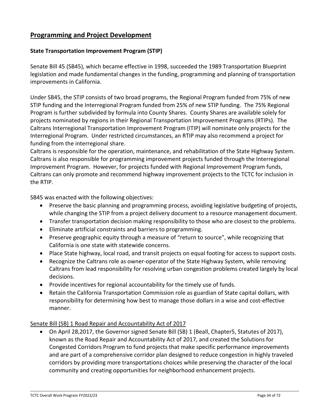### **Programming and Project Development**

#### **State Transportation Improvement Program (STIP)**

Senate Bill 45 (SB45), which became effective in 1998, succeeded the 1989 Transportation Blueprint legislation and made fundamental changes in the funding, programming and planning of transportation improvements in California.

Under SB45, the STIP consists of two broad programs, the Regional Program funded from 75% of new STIP funding and the Interregional Program funded from 25% of new STIP funding. The 75% Regional Program is further subdivided by formula into County Shares. County Shares are available solely for projects nominated by regions in their Regional Transportation Improvement Programs (RTIPs). The Caltrans Interregional Transportation Improvement Program (ITIP) will nominate only projects for the Interregional Program. Under restricted circumstances, an RTIP may also recommend a project for funding from the interregional share.

Caltrans is responsible for the operation, maintenance, and rehabilitation of the State Highway System. Caltrans is also responsible for programming improvement projects funded through the Interregional Improvement Program. However, for projects funded with Regional Improvement Program funds, Caltrans can only promote and recommend highway improvement projects to the TCTC for inclusion in the RTIP.

SB45 was enacted with the following objectives:

- Preserve the basic planning and programming process, avoiding legislative budgeting of projects, while changing the STIP from a project delivery document to a resource management document.
- Transfer transportation decision making responsibility to those who are closest to the problems.
- Eliminate artificial constraints and barriers to programming.
- Preserve geographic equity through a measure of "return to source", while recognizing that California is one state with statewide concerns.
- Place State highway, local road, and transit projects on equal footing for access to support costs.
- Recognize the Caltrans role as owner-operator of the State Highway System, while removing Caltrans from lead responsibility for resolving urban congestion problems created largely by local decisions.
- Provide incentives for regional accountability for the timely use of funds.
- Retain the California Transportation Commission role as guardian of State capital dollars, with responsibility for determining how best to manage those dollars in a wise and cost-effective manner.

#### Senate Bill (SB) 1 Road Repair and Accountability Act of 2017

• On April 28,2017, the Governor signed Senate Bill (SB) 1 (Beall, Chapter5, Statutes of 2017), known as the Road Repair and Accountability Act of 2017, and created the Solutions for Congested Corridors Program to fund projects that make specific performance improvements and are part of a comprehensive corridor plan designed to reduce congestion in highly traveled corridors by providing more transportations choices while preserving the character of the local community and creating opportunities for neighborhood enhancement projects.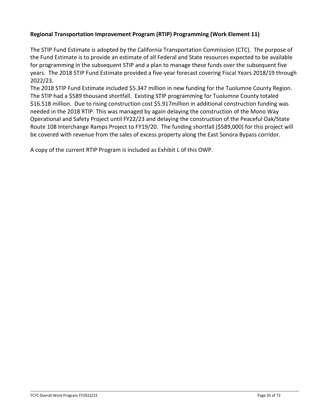#### **Regional Transportation Improvement Program (RTIP) Programming (Work Element 11)**

The STIP Fund Estimate is adopted by the California Transportation Commission (CTC). The purpose of the Fund Estimate is to provide an estimate of all Federal and State resources expected to be available for programming in the subsequent STIP and a plan to manage these funds over the subsequent five years. The 2018 STIP Fund Estimate provided a five-year forecast covering Fiscal Years 2018/19 through 2022/23.

The 2018 STIP Fund Estimate included \$5.347 million in new funding for the Tuolumne County Region. The STIP had a \$589 thousand shortfall. Existing STIP programming for Tuolumne County totaled \$16.518 million. Due to rising construction cost \$5.917million in additional construction funding was needed in the 2018 RTIP. This was managed by again delaying the construction of the Mono Way Operational and Safety Project until FY22/23 and delaying the construction of the Peaceful Oak/State Route 108 Interchange Ramps Project to FY19/20. The funding shortfall (\$589,000) for this project will be covered with revenue from the sales of excess property along the East Sonora Bypass corridor.

A copy of the current RTIP Program is included as Exhibit L of this OWP.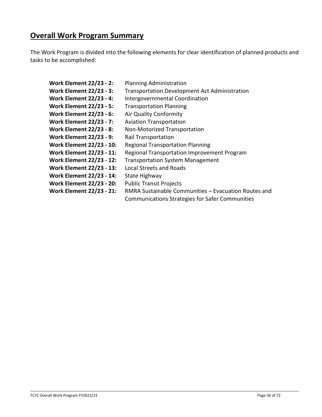# **Overall Work Program Summary**

The Work Program is divided into the following elements for clear identification of planned products and tasks to be accomplished:

**Work Element 22/23 - 2:** Planning Administration **Work Element 22/23 - 3:** Transportation Development Act Administration **Work Element 22/23 - 4:** Intergovernmental Coordination **Work Element 22/23 - 5:** Transportation Planning **Work Element 22/23 - 6:** Air Quality Conformity **Work Element 22/23 - 7:** Aviation Transportation **Work Element 22/23 - 8:** Non-Motorized Transportation **Work Element 22/23 - 9:** Rail Transportation **Work Element 22/23 - 10:** Regional Transportation Planning **Work Element 22/23 - 11:** Regional Transportation Improvement Program **Work Element 22/23 - 12:** Transportation System Management **Work Element 22/23 - 13:** Local Streets and Roads **Work Element 22/23 - 14:** State Highway **Work Element 22/23 - 20:** Public Transit Projects **Work Element 22/23 - 21:** RMRA Sustainable Communities – Evacuation Routes and Communications Strategies for Safer Communities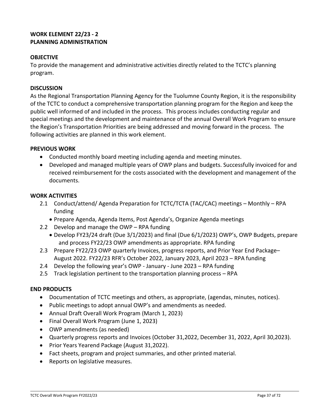# **WORK ELEMENT 22/23 - 2 PLANNING ADMINISTRATION**

## **OBJECTIVE**

To provide the management and administrative activities directly related to the TCTC's planning program.

#### **DISCUSSION**

As the Regional Transportation Planning Agency for the Tuolumne County Region, it is the responsibility of the TCTC to conduct a comprehensive transportation planning program for the Region and keep the public well informed of and included in the process. This process includes conducting regular and special meetings and the development and maintenance of the annual Overall Work Program to ensure the Region's Transportation Priorities are being addressed and moving forward in the process. The following activities are planned in this work element.

#### **PREVIOUS WORK**

- Conducted monthly board meeting including agenda and meeting minutes.
- Developed and managed multiple years of OWP plans and budgets. Successfully invoiced for and received reimbursement for the costs associated with the development and management of the documents.

#### **WORK ACTIVITIES**

- 2.1 Conduct/attend/ Agenda Preparation for TCTC/TCTA (TAC/CAC) meetings Monthly RPA funding
	- Prepare Agenda, Agenda Items, Post Agenda's, Organize Agenda meetings
- 2.2 Develop and manage the OWP RPA funding
	- Develop FY23/24 draft (Due 3/1/2023) and final (Due 6/1/2023) OWP's, OWP Budgets, prepare and process FY22/23 OWP amendments as appropriate. RPA funding
- 2.3 Prepare FY22/23 OWP quarterly Invoices, progress reports, and Prior Year End Package– August 2022. FY22/23 RFR's October 2022, January 2023, April 2023 – RPA funding
- 2.4 Develop the following year's OWP January June 2023 RPA funding
- 2.5 Track legislation pertinent to the transportation planning process RPA

#### **END PRODUCTS**

- Documentation of TCTC meetings and others, as appropriate, (agendas, minutes, notices).
- Public meetings to adopt annual OWP's and amendments as needed.
- Annual Draft Overall Work Program (March 1, 2023)
- Final Overall Work Program (June 1, 2023)
- OWP amendments (as needed)
- Quarterly progress reports and Invoices (October 31,2022, December 31, 2022, April 30,2023).
- Prior Years Yearend Package (August 31,2022).
- Fact sheets, program and project summaries, and other printed material.
- Reports on legislative measures.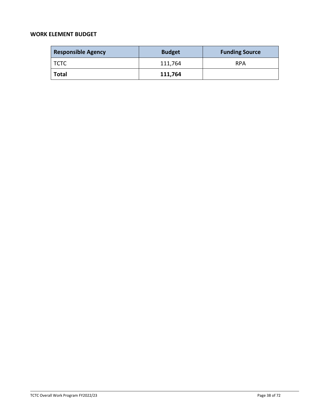| <b>Responsible Agency</b>     | <b>Budget</b> | <b>Funding Source</b> |
|-------------------------------|---------------|-----------------------|
| $\overline{\phantom{a}}$ TCTC | 111,764       | <b>RPA</b>            |
| <b>Total</b>                  | 111,764       |                       |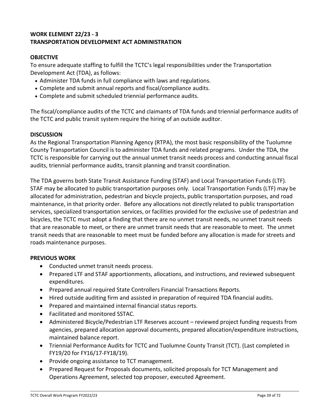# **WORK ELEMENT 22/23 - 3 TRANSPORTATION DEVELOPMENT ACT ADMINISTRATION**

# **OBJECTIVE**

To ensure adequate staffing to fulfill the TCTC's legal responsibilities under the Transportation Development Act (TDA), as follows:

- Administer TDA funds in full compliance with laws and regulations.
- Complete and submit annual reports and fiscal/compliance audits.
- Complete and submit scheduled triennial performance audits.

The fiscal/compliance audits of the TCTC and claimants of TDA funds and triennial performance audits of the TCTC and public transit system require the hiring of an outside auditor.

# **DISCUSSION**

As the Regional Transportation Planning Agency (RTPA), the most basic responsibility of the Tuolumne County Transportation Council is to administer TDA funds and related programs. Under the TDA, the TCTC is responsible for carrying out the annual unmet transit needs process and conducting annual fiscal audits, triennial performance audits, transit planning and transit coordination.

The TDA governs both State Transit Assistance Funding (STAF) and Local Transportation Funds (LTF). STAF may be allocated to public transportation purposes only. Local Transportation Funds (LTF) may be allocated for administration, pedestrian and bicycle projects, public transportation purposes, and road maintenance, in that priority order. Before any allocations not directly related to public transportation services, specialized transportation services, or facilities provided for the exclusive use of pedestrian and bicycles, the TCTC must adopt a finding that there are no unmet transit needs, no unmet transit needs that are reasonable to meet, or there are unmet transit needs that are reasonable to meet. The unmet transit needs that are reasonable to meet must be funded before any allocation is made for streets and roads maintenance purposes.

# **PREVIOUS WORK**

- Conducted unmet transit needs process.
- Prepared LTF and STAF apportionments, allocations, and instructions, and reviewed subsequent expenditures.
- Prepared annual required State Controllers Financial Transactions Reports.
- Hired outside auditing firm and assisted in preparation of required TDA financial audits.
- Prepared and maintained internal financial status reports.
- Facilitated and monitored SSTAC.
- Administered Bicycle/Pedestrian LTF Reserves account reviewed project funding requests from agencies, prepared allocation approval documents, prepared allocation/expenditure instructions, maintained balance report.
- Triennial Performance Audits for TCTC and Tuolumne County Transit (TCT). (Last completed in FY19/20 for FY16/17-FY18/19).
- Provide ongoing assistance to TCT management.
- Prepared Request for Proposals documents, solicited proposals for TCT Management and Operations Agreement, selected top proposer, executed Agreement.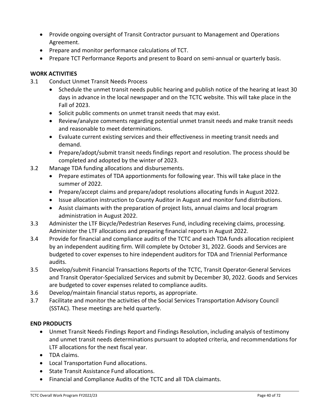- Provide ongoing oversight of Transit Contractor pursuant to Management and Operations Agreement.
- Prepare and monitor performance calculations of TCT.
- Prepare TCT Performance Reports and present to Board on semi-annual or quarterly basis.

# **WORK ACTIVITIES**

- 3.1 Conduct Unmet Transit Needs Process
	- Schedule the unmet transit needs public hearing and publish notice of the hearing at least 30 days in advance in the local newspaper and on the TCTC website. This will take place in the Fall of 2023.
	- Solicit public comments on unmet transit needs that may exist.
	- Review/analyze comments regarding potential unmet transit needs and make transit needs and reasonable to meet determinations.
	- Evaluate current existing services and their effectiveness in meeting transit needs and demand.
	- Prepare/adopt/submit transit needs findings report and resolution. The process should be completed and adopted by the winter of 2023.
- 3.2 Manage TDA funding allocations and disbursements.
	- Prepare estimates of TDA apportionments for following year. This will take place in the summer of 2022.
	- Prepare/accept claims and prepare/adopt resolutions allocating funds in August 2022.
	- Issue allocation instruction to County Auditor in August and monitor fund distributions.
	- Assist claimants with the preparation of project lists, annual claims and local program administration in August 2022.
- 3.3 Administer the LTF Bicycle/Pedestrian Reserves Fund, including receiving claims, processing. Administer the LTF allocations and preparing financial reports in August 2022.
- 3.4 Provide for financial and compliance audits of the TCTC and each TDA funds allocation recipient by an independent auditing firm. Will complete by October 31, 2022. Goods and Services are budgeted to cover expenses to hire independent auditors for TDA and Triennial Performance audits.
- 3.5 Develop/submit Financial Transactions Reports of the TCTC, Transit Operator-General Services and Transit Operator-Specialized Services and submit by December 30, 2022. Goods and Services are budgeted to cover expenses related to compliance audits.
- 3.6 Develop/maintain financial status reports, as appropriate.
- 3.7 Facilitate and monitor the activities of the Social Services Transportation Advisory Council (SSTAC). These meetings are held quarterly.

# **END PRODUCTS**

- Unmet Transit Needs Findings Report and Findings Resolution, including analysis of testimony and unmet transit needs determinations pursuant to adopted criteria, and recommendations for LTF allocations for the next fiscal year.
- TDA claims.
- Local Transportation Fund allocations.
- State Transit Assistance Fund allocations.
- Financial and Compliance Audits of the TCTC and all TDA claimants.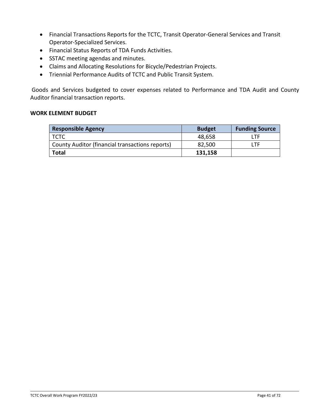- Financial Transactions Reports for the TCTC, Transit Operator-General Services and Transit Operator-Specialized Services.
- Financial Status Reports of TDA Funds Activities.
- SSTAC meeting agendas and minutes.
- Claims and Allocating Resolutions for Bicycle/Pedestrian Projects.
- Triennial Performance Audits of TCTC and Public Transit System.

Goods and Services budgeted to cover expenses related to Performance and TDA Audit and County Auditor financial transaction reports.

| <b>Responsible Agency</b>                       | <b>Budget</b> | <b>Funding Source</b> |
|-------------------------------------------------|---------------|-----------------------|
| тстс                                            | 48,658        | I TF                  |
| County Auditor (financial transactions reports) | 82,500        | I TF                  |
| <b>Total</b>                                    | 131,158       |                       |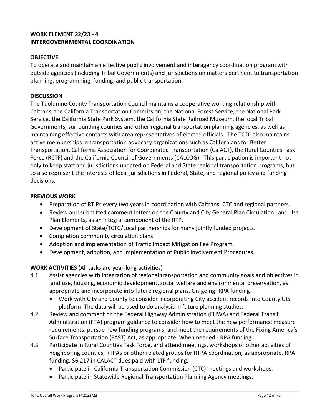# **WORK ELEMENT 22/23 - 4 INTERGOVERNMENTAL COORDINATION**

# **OBJECTIVE**

To operate and maintain an effective public involvement and interagency coordination program with outside agencies (including Tribal Governments) and jurisdictions on matters pertinent to transportation planning, programming, funding, and public transportation.

# **DISCUSSION**

The Tuolumne County Transportation Council maintains a cooperative working relationship with Caltrans, the California Transportation Commission, the National Forest Service, the National Park Service, the California State Park System, the California State Railroad Museum, the local Tribal Governments, surrounding counties and other regional transportation planning agencies, as well as maintaining effective contacts with area representatives of elected officials. The TCTC also maintains active memberships in transportation advocacy organizations such as Californians for Better Transportation, California Association for Coordinated Transportation (CalACT), the Rural Counties Task Force (RCTF) and the California Council of Governments (CALCOG). This participation is important not only to keep staff and jurisdictions updated on Federal and State regional transportation programs, but to also represent the interests of local jurisdictions in Federal, State, and regional policy and funding decisions.

# **PREVIOUS WORK**

- Preparation of RTIPs every two years in coordination with Caltrans, CTC and regional partners.
- Review and submitted comment letters on the County and City General Plan Circulation Land Use Plan Elements, as an integral component of the RTP.
- Development of State/TCTC/Local partnerships for many jointly funded projects.
- Completion community circulation plans.
- Adoption and implementation of Traffic Impact Mitigation Fee Program.
- Development, adoption, and implementation of Public Involvement Procedures.

# **WORK ACTIVITIES** (All tasks are year-long activities)

- 4.1 Assist agencies with integration of regional transportation and community goals and objectives in land use, housing, economic development, social welfare and environmental preservation, as appropriate and incorporate into future regional plans. On-going -RPA funding
	- Work with City and County to consider incorporating City accident records into County GIS platform. The data will be used to do analysis in future planning studies.
- 4.2 Review and comment on the Federal Highway Administration (FHWA) and Federal Transit Administration (FTA) program guidance to consider how to meet the new performance measure requirements, pursue new funding programs, and meet the requirements of the Fixing America's Surface Transportation (FAST) Act, as appropriate. When needed - RPA funding
- 4.3 Participate in Rural Counties Task Force, and attend meetings, workshops or other activities of neighboring counties, RTPAs or other related groups for RTPA coordination, as appropriate. RPA funding. \$6,217 in CALACT dues paid with LTF funding.
	- Participate in California Transportation Commission (CTC) meetings and workshops.
	- Participate in Statewide Regional Transportation Planning Agency meetings.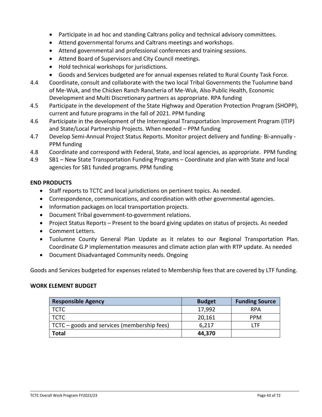- Participate in ad hoc and standing Caltrans policy and technical advisory committees.
- Attend governmental forums and Caltrans meetings and workshops.
- Attend governmental and professional conferences and training sessions.
- Attend Board of Supervisors and City Council meetings.
- Hold technical workshops for jurisdictions.
- Goods and Services budgeted are for annual expenses related to Rural County Task Force.
- 4.4 Coordinate, consult and collaborate with the two local Tribal Governments the Tuolumne band of Me-Wuk, and the Chicken Ranch Rancheria of Me-Wuk, Also Public Health, Economic Development and Multi Discretionary partners as appropriate. RPA funding
- 4.5 Participate in the development of the State Highway and Operation Protection Program (SHOPP), current and future programs in the fall of 2021. PPM funding
- 4.6 Participate in the development of the Interregional Transportation Improvement Program (ITIP) and State/Local Partnership Projects. When needed – PPM funding
- 4.7 Develop Semi-Annual Project Status Reports. Monitor project delivery and funding- Bi-annually PPM funding
- 4.8 Coordinate and correspond with Federal, State, and local agencies, as appropriate. PPM funding
- 4.9 SB1 New State Transportation Funding Programs Coordinate and plan with State and local agencies for SB1 funded programs. PPM funding

# **END PRODUCTS**

- Staff reports to TCTC and local jurisdictions on pertinent topics. As needed.
- Correspondence, communications, and coordination with other governmental agencies.
- Information packages on local transportation projects.
- Document Tribal government-to-government relations.
- Project Status Reports Present to the board giving updates on status of projects. As needed
- Comment Letters.
- Tuolumne County General Plan Update as it relates to our Regional Transportation Plan. Coordinate G.P implementation measures and climate action plan with RTP update. As needed
- Document Disadvantaged Community needs. Ongoing

Goods and Services budgeted for expenses related to Membership fees that are covered by LTF funding.

| <b>Responsible Agency</b>                   | <b>Budget</b> | <b>Funding Source</b> |
|---------------------------------------------|---------------|-----------------------|
| TCTC                                        | 17,992        | <b>RPA</b>            |
| TCTC                                        | 20,161        | <b>PPM</b>            |
| TCTC – goods and services (membership fees) | 6,217         | I TE                  |
| <b>Total</b>                                | 44,370        |                       |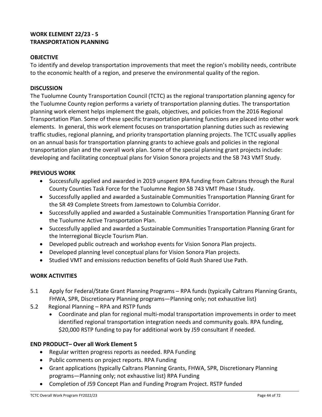# **WORK ELEMENT 22/23 - 5 TRANSPORTATION PLANNING**

# **OBJECTIVE**

To identify and develop transportation improvements that meet the region's mobility needs, contribute to the economic health of a region, and preserve the environmental quality of the region.

### **DISCUSSION**

The Tuolumne County Transportation Council (TCTC) as the regional transportation planning agency for the Tuolumne County region performs a variety of transportation planning duties. The transportation planning work element helps implement the goals, objectives, and policies from the 2016 Regional Transportation Plan. Some of these specific transportation planning functions are placed into other work elements. In general, this work element focuses on transportation planning duties such as reviewing traffic studies, regional planning, and priority transportation planning projects. The TCTC usually applies on an annual basis for transportation planning grants to achieve goals and policies in the regional transportation plan and the overall work plan. Some of the special planning grant projects include: developing and facilitating conceptual plans for Vision Sonora projects and the SB 743 VMT Study.

### **PREVIOUS WORK**

- Successfully applied and awarded in 2019 unspent RPA funding from Caltrans through the Rural County Counties Task Force for the Tuolumne Region SB 743 VMT Phase I Study.
- Successfully applied and awarded a Sustainable Communities Transportation Planning Grant for the SR 49 Complete Streets from Jamestown to Columbia Corridor.
- Successfully applied and awarded a Sustainable Communities Transportation Planning Grant for the Tuolumne Active Transportation Plan.
- Successfully applied and awarded a Sustainable Communities Transportation Planning Grant for the Interregional Bicycle Tourism Plan.
- Developed public outreach and workshop events for Vision Sonora Plan projects.
- Developed planning level conceptual plans for Vision Sonora Plan projects.
- Studied VMT and emissions reduction benefits of Gold Rush Shared Use Path.

# **WORK ACTIVITIES**

- 5.1 Apply for Federal/State Grant Planning Programs RPA funds (typically Caltrans Planning Grants, FHWA, SPR, Discretionary Planning programs—Planning only; not exhaustive list)
- 5.2 Regional Planning RPA and RSTP funds
	- Coordinate and plan for regional multi-modal transportation improvements in order to meet identified regional transportation integration needs and community goals. RPA funding, \$20,000 RSTP funding to pay for additional work by J59 consultant if needed.

# **END PRODUCT– Over all Work Element 5**

- Regular written progress reports as needed. RPA Funding
- Public comments on project reports. RPA Funding
- Grant applications (typically Caltrans Planning Grants, FHWA, SPR, Discretionary Planning programs—Planning only; not exhaustive list) RPA Funding
- Completion of J59 Concept Plan and Funding Program Project. RSTP funded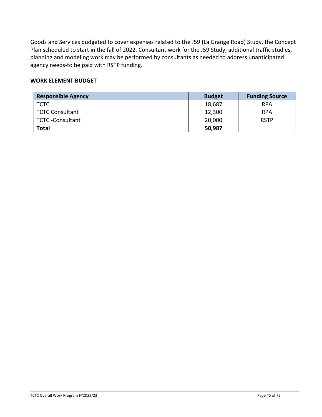Goods and Services budgeted to cover expenses related to the J59 (La Grange Road) Study, the Concept Plan scheduled to start in the fall of 2022. Consultant work for the J59 Study, additional traffic studies, planning and modeling work may be performed by consultants as needed to address unanticipated agency needs-to be paid with RSTP funding.

| <b>Responsible Agency</b> | <b>Budget</b> | <b>Funding Source</b> |
|---------------------------|---------------|-----------------------|
| <b>TCTC</b>               | 18,687        | <b>RPA</b>            |
| <b>TCTC Consultant</b>    | 12,300        | <b>RPA</b>            |
| TCTC-Consultant           | 20,000        | <b>RSTP</b>           |
| <b>Total</b>              | 50,987        |                       |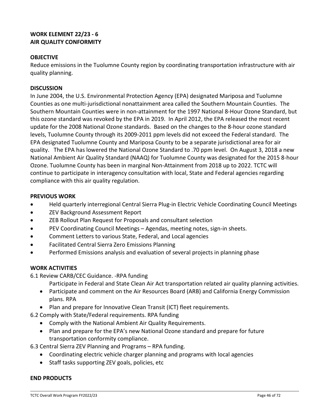# **WORK ELEMENT 22/23 - 6 AIR QUALITY CONFORMITY**

# **OBJECTIVE**

Reduce emissions in the Tuolumne County region by coordinating transportation infrastructure with air quality planning.

### **DISCUSSION**

In June 2004, the U.S. Environmental Protection Agency (EPA) designated Mariposa and Tuolumne Counties as one multi-jurisdictional nonattainment area called the Southern Mountain Counties. The Southern Mountain Counties were in non-attainment for the 1997 National 8-Hour Ozone Standard, but this ozone standard was revoked by the EPA in 2019. In April 2012, the EPA released the most recent update for the 2008 National Ozone standards. Based on the changes to the 8-hour ozone standard levels, Tuolumne County through its 2009-2011 ppm levels did not exceed the Federal standard. The EPA designated Tuolumne County and Mariposa County to be a separate jurisdictional area for air quality. The EPA has lowered the National Ozone Standard to .70 ppm level. On August 3, 2018 a new National Ambient Air Quality Standard (NAAQ) for Tuolumne County was designated for the 2015 8-hour Ozone. Tuolumne County has been in marginal Non-Attainment from 2018 up to 2022. TCTC will continue to participate in interagency consultation with local, State and Federal agencies regarding compliance with this air quality regulation.

### **PREVIOUS WORK**

- Held quarterly interregional Central Sierra Plug-in Electric Vehicle Coordinating Council Meetings
- ZEV Background Assessment Report
- ZEB Rollout Plan Request for Proposals and consultant selection
- PEV Coordinating Council Meetings Agendas, meeting notes, sign-in sheets.
- Comment Letters to various State, Federal, and Local agencies
- Facilitated Central Sierra Zero Emissions Planning
- Performed Emissions analysis and evaluation of several projects in planning phase

# **WORK ACTIVITIES**

6.1 Review CARB/CEC Guidance. -RPA funding

Participate in Federal and State Clean Air Act transportation related air quality planning activities.

- Participate and comment on the Air Resources Board (ARB) and California Energy Commission plans. RPA
- Plan and prepare for Innovative Clean Transit (ICT) fleet requirements.
- 6.2 Comply with State/Federal requirements. RPA funding
	- Comply with the National Ambient Air Quality Requirements.
	- Plan and prepare for the EPA's new National Ozone standard and prepare for future transportation conformity compliance.

6.3 Central Sierra ZEV Planning and Programs – RPA funding.

- Coordinating electric vehicle charger planning and programs with local agencies
- Staff tasks supporting ZEV goals, policies, etc

# **END PRODUCTS**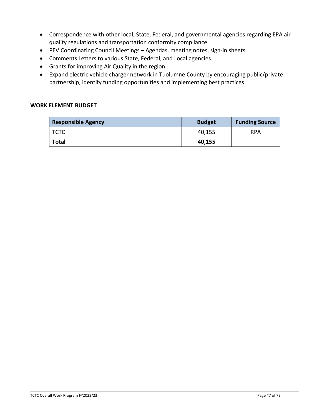- Correspondence with other local, State, Federal, and governmental agencies regarding EPA air quality regulations and transportation conformity compliance.
- PEV Coordinating Council Meetings Agendas, meeting notes, sign-in sheets.
- Comments Letters to various State, Federal, and Local agencies.
- Grants for improving Air Quality in the region.
- Expand electric vehicle charger network in Tuolumne County by encouraging public/private partnership, identify funding opportunities and implementing best practices

| <b>Responsible Agency</b> | <b>Budget</b> | <b>Funding Source</b> |
|---------------------------|---------------|-----------------------|
| l TCTC                    | 40,155        | <b>RPA</b>            |
| Total                     | 40,155        |                       |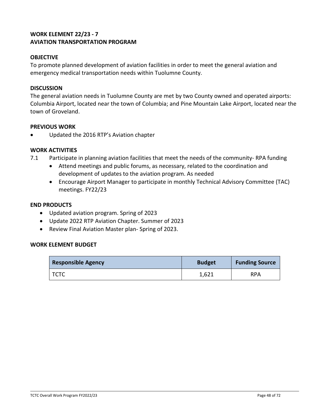# **WORK ELEMENT 22/23 - 7 AVIATION TRANSPORTATION PROGRAM**

## **OBJECTIVE**

To promote planned development of aviation facilities in order to meet the general aviation and emergency medical transportation needs within Tuolumne County.

#### **DISCUSSION**

The general aviation needs in Tuolumne County are met by two County owned and operated airports: Columbia Airport, located near the town of Columbia; and Pine Mountain Lake Airport, located near the town of Groveland.

#### **PREVIOUS WORK**

• Updated the 2016 RTP's Aviation chapter

#### **WORK ACTIVITIES**

- 7.1 Participate in planning aviation facilities that meet the needs of the community- RPA funding
	- Attend meetings and public forums, as necessary, related to the coordination and development of updates to the aviation program. As needed
	- Encourage Airport Manager to participate in monthly Technical Advisory Committee (TAC) meetings. FY22/23

#### **END PRODUCTS**

- Updated aviation program. Spring of 2023
- Update 2022 RTP Aviation Chapter. Summer of 2023
- Review Final Aviation Master plan- Spring of 2023.

| <b>Responsible Agency</b> | <b>Budget</b> | <b>Funding Source</b> |
|---------------------------|---------------|-----------------------|
| TCTC                      | 1,621         | <b>RPA</b>            |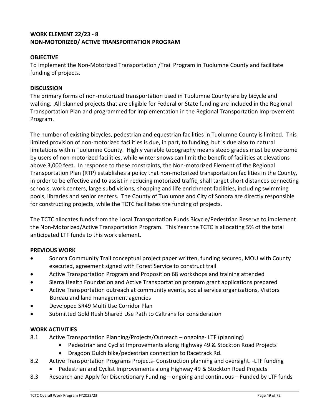# **WORK ELEMENT 22/23 - 8 NON-MOTORIZED/ ACTIVE TRANSPORTATION PROGRAM**

# **OBJECTIVE**

To implement the Non-Motorized Transportation /Trail Program in Tuolumne County and facilitate funding of projects.

## **DISCUSSION**

The primary forms of non-motorized transportation used in Tuolumne County are by bicycle and walking. All planned projects that are eligible for Federal or State funding are included in the Regional Transportation Plan and programmed for implementation in the Regional Transportation Improvement Program.

The number of existing bicycles, pedestrian and equestrian facilities in Tuolumne County is limited. This limited provision of non-motorized facilities is due, in part, to funding, but is due also to natural limitations within Tuolumne County. Highly variable topography means steep grades must be overcome by users of non-motorized facilities, while winter snows can limit the benefit of facilities at elevations above 3,000 feet. In response to these constraints, the Non-motorized Element of the Regional Transportation Plan (RTP) establishes a policy that non-motorized transportation facilities in the County, in order to be effective and to assist in reducing motorized traffic, shall target short distances connecting schools, work centers, large subdivisions, shopping and life enrichment facilities, including swimming pools, libraries and senior centers. The County of Tuolumne and City of Sonora are directly responsible for constructing projects, while the TCTC facilitates the funding of projects.

The TCTC allocates funds from the Local Transportation Funds Bicycle/Pedestrian Reserve to implement the Non-Motorized/Active Transportation Program. This Year the TCTC is allocating 5% of the total anticipated LTF funds to this work element.

# **PREVIOUS WORK**

- Sonora Community Trail conceptual project paper written, funding secured, MOU with County executed, agreement signed with Forest Service to construct trail
- Active Transportation Program and Proposition 68 workshops and training attended
- Sierra Health Foundation and Active Transportation program grant applications prepared
- Active Transportation outreach at community events, social service organizations, Visitors Bureau and land management agencies
- Developed SR49 Multi Use Corridor Plan
- Submitted Gold Rush Shared Use Path to Caltrans for consideration

# **WORK ACTIVITIES**

- 8.1 Active Transportation Planning/Projects/Outreach ongoing- LTF (planning)
	- Pedestrian and Cyclist Improvements along Highway 49 & Stockton Road Projects
	- Dragoon Gulch bike/pedestrian connection to Racetrack Rd.
- 8.2 Active Transportation Programs Projects- Construction planning and oversight. -LTF funding
	- Pedestrian and Cyclist Improvements along Highway 49 & Stockton Road Projects
- 8.3 Research and Apply for Discretionary Funding ongoing and continuous Funded by LTF funds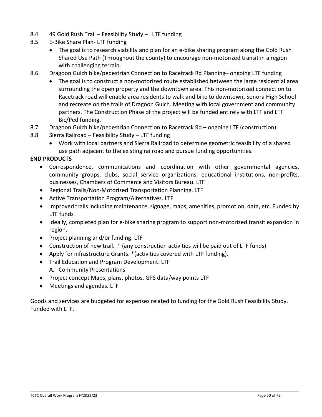- 8.4 49 Gold Rush Trail Feasibility Study LTF funding
- 8.5 E-Bike Share Plan- LTF funding
	- The goal is to research viability and plan for an e-bike sharing program along the Gold Rush Shared Use Path (Throughout the county) to encourage non-motorized transit in a region with challenging terrain.
- 8.6 Dragoon Gulch bike/pedestrian Connection to Racetrack Rd Planning– ongoing LTF funding
	- The goal is to construct a non-motorized route established between the large residential area surrounding the open property and the downtown area. This non-motorized connection to Racetrack road will enable area residents to walk and bike to downtown, Sonora High School and recreate on the trails of Dragoon Gulch. Meeting with local government and community partners. The Construction Phase of the project will be funded entirely with LTF and LTF Bic/Ped funding.
- 8.7 Dragoon Gulch bike/pedestrian Connection to Racetrack Rd ongoing LTF (construction)
- 8.8 Sierra Railroad Feasibility Study LTF funding
	- Work with local partners and Sierra Railroad to determine geometric feasibility of a shared use path adjacent to the existing railroad and pursue funding opportunities.

# **END PRODUCTS**

- Correspondence, communications and coordination with other governmental agencies, community groups, clubs, social service organizations, educational institutions, non-profits, businesses, Chambers of Commerce and Visitors Bureau. LTF
- Regional Trails/Non-Motorized Transportation Planning. LTF
- Active Transportation Program/Alternatives. LTF
- Improved trails including maintenance, signage, maps, amenities, promotion, data, etc. Funded by LTF funds
- Ideally, completed plan for e-bike sharing program to support non-motorized transit expansion in region.
- Project planning and/or funding. LTF
- Construction of new trail. \* (any construction activities will be paid out of LTF funds)
- Apply for infrastructure Grants. \*(activities covered with LTF funding).
- Trail Education and Program Development. LTF A. Community Presentations
- Project concept Maps, plans, photos, GPS data/way points LTF
- Meetings and agendas. LTF

Goods and services are budgeted for expenses related to funding for the Gold Rush Feasibility Study. Funded with LTF.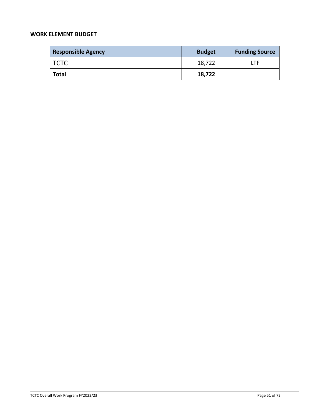| <b>Responsible Agency</b> | <b>Budget</b> | <b>Funding Source</b> |
|---------------------------|---------------|-----------------------|
| <b>TCTC</b>               | 18,722        | LTF                   |
| Total                     | 18,722        |                       |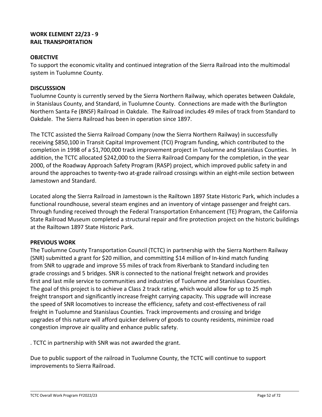# **WORK ELEMENT 22/23 - 9 RAIL TRANSPORTATION**

# **OBJECTIVE**

To support the economic vitality and continued integration of the Sierra Railroad into the multimodal system in Tuolumne County.

## **DISCUSSSION**

Tuolumne County is currently served by the Sierra Northern Railway, which operates between Oakdale, in Stanislaus County, and Standard, in Tuolumne County. Connections are made with the Burlington Northern Santa Fe (BNSF) Railroad in Oakdale. The Railroad includes 49 miles of track from Standard to Oakdale. The Sierra Railroad has been in operation since 1897.

The TCTC assisted the Sierra Railroad Company (now the Sierra Northern Railway) in successfully receiving \$850,100 in Transit Capital Improvement (TCI) Program funding, which contributed to the completion in 1998 of a \$1,700,000 track improvement project in Tuolumne and Stanislaus Counties. In addition, the TCTC allocated \$242,000 to the Sierra Railroad Company for the completion, in the year 2000, of the Roadway Approach Safety Program (RASP) project, which improved public safety in and around the approaches to twenty-two at-grade railroad crossings within an eight-mile section between Jamestown and Standard.

Located along the Sierra Railroad in Jamestown is the Railtown 1897 State Historic Park, which includes a functional roundhouse, several steam engines and an inventory of vintage passenger and freight cars. Through funding received through the Federal Transportation Enhancement (TE) Program, the California State Railroad Museum completed a structural repair and fire protection project on the historic buildings at the Railtown 1897 State Historic Park.

# **PREVIOUS WORK**

The Tuolumne County Transportation Council (TCTC) in partnership with the Sierra Northern Railway (SNR) submitted a grant for \$20 million, and committing \$14 million of In-kind match funding from SNR to upgrade and improve 55 miles of track from Riverbank to Standard including ten grade crossings and 5 bridges. SNR is connected to the national freight network and provides first and last mile service to communities and industries of Tuolumne and Stanislaus Counties. The goal of this project is to achieve a Class 2 track rating, which would allow for up to 25 mph freight transport and significantly increase freight carrying capacity. This upgrade will increase the speed of SNR locomotives to increase the efficiency, safety and cost-effectiveness of rail freight in Tuolumne and Stanislaus Counties. Track improvements and crossing and bridge upgrades of this nature will afford quicker delivery of goods to county residents, minimize road congestion improve air quality and enhance public safety.

. TCTC in partnership with SNR was not awarded the grant.

Due to public support of the railroad in Tuolumne County, the TCTC will continue to support improvements to Sierra Railroad.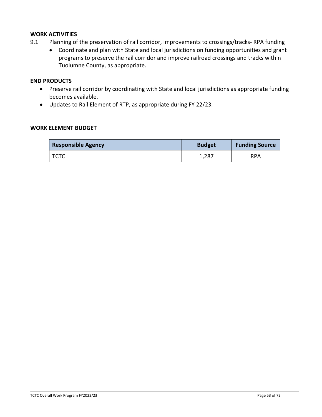### **WORK ACTIVITIES**

- 9.1 Planning of the preservation of rail corridor, improvements to crossings/tracks- RPA funding
	- Coordinate and plan with State and local jurisdictions on funding opportunities and grant programs to preserve the rail corridor and improve railroad crossings and tracks within Tuolumne County, as appropriate.

#### **END PRODUCTS**

- Preserve rail corridor by coordinating with State and local jurisdictions as appropriate funding becomes available.
- Updates to Rail Element of RTP, as appropriate during FY 22/23.

| <b>Responsible Agency</b> | <b>Budget</b> | <b>Funding Source</b> |
|---------------------------|---------------|-----------------------|
| TCTC                      | 1,287         | <b>RPA</b>            |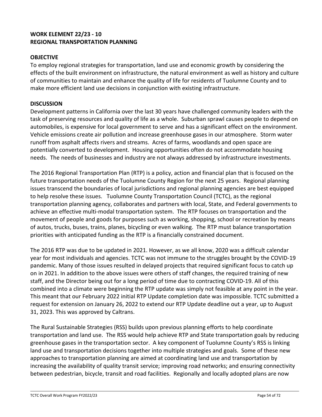# **WORK ELEMENT 22/23 - 10 REGIONAL TRANSPORTATION PLANNING**

# **OBJECTIVE**

To employ regional strategies for transportation, land use and economic growth by considering the effects of the built environment on infrastructure, the natural environment as well as history and culture of communities to maintain and enhance the quality of life for residents of Tuolumne County and to make more efficient land use decisions in conjunction with existing infrastructure.

### **DISCUSSION**

Development patterns in California over the last 30 years have challenged community leaders with the task of preserving resources and quality of life as a whole. Suburban sprawl causes people to depend on automobiles, is expensive for local government to serve and has a significant effect on the environment. Vehicle emissions create air pollution and increase greenhouse gases in our atmosphere. Storm water runoff from asphalt affects rivers and streams. Acres of farms, woodlands and open space are potentially converted to development. Housing opportunities often do not accommodate housing needs. The needs of businesses and industry are not always addressed by infrastructure investments.

The 2016 Regional Transportation Plan (RTP) is a policy, action and financial plan that is focused on the future transportation needs of the Tuolumne County Region for the next 25 years. Regional planning issues transcend the boundaries of local jurisdictions and regional planning agencies are best equipped to help resolve these issues. Tuolumne County Transportation Council (TCTC), as the regional transportation planning agency, collaborates and partners with local, State, and Federal governments to achieve an effective multi-modal transportation system. The RTP focuses on transportation and the movement of people and goods for purposes such as working, shopping, school or recreation by means of autos, trucks, buses, trains, planes, bicycling or even walking. The RTP must balance transportation priorities with anticipated funding as the RTP is a financially constrained document.

The 2016 RTP was due to be updated in 2021. However, as we all know, 2020 was a difficult calendar year for most individuals and agencies. TCTC was not immune to the struggles brought by the COVID-19 pandemic. Many of those issues resulted in delayed projects that required significant focus to catch up on in 2021. In addition to the above issues were others of staff changes, the required training of new staff, and the Director being out for a long period of time due to contracting COVID-19. All of this combined into a climate were beginning the RTP update was simply not feasible at any point in the year. This meant that our February 2022 initial RTP Update completion date was impossible. TCTC submitted a request for extension on January 26, 2022 to extend our RTP Update deadline out a year, up to August 31, 2023. This was approved by Caltrans.

The Rural Sustainable Strategies (RSS) builds upon previous planning efforts to help coordinate transportation and land use. The RSS would help achieve RTP and State transportation goals by reducing greenhouse gases in the transportation sector. A key component of Tuolumne County's RSS is linking land use and transportation decisions together into multiple strategies and goals. Some of these new approaches to transportation planning are aimed at coordinating land use and transportation by increasing the availability of quality transit service; improving road networks; and ensuring connectivity between pedestrian, bicycle, transit and road facilities. Regionally and locally adopted plans are now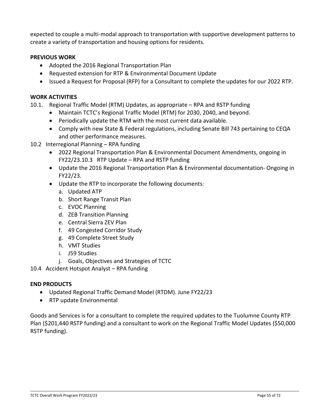expected to couple a multi-modal approach to transportation with supportive development patterns to create a variety of transportation and housing options for residents.

### **PREVIOUS WORK**

- Adopted the 2016 Regional Transportation Plan
- Requested extension for RTP & Environmental Document Update
- Issued a Request for Proposal (RFP) for a Consultant to complete the updates for our 2022 RTP.

### **WORK ACTIVITIES**

- 10.1. Regional Traffic Model (RTM) Updates, as appropriate RPA and RSTP funding
	- Maintain TCTC's Regional Traffic Model (RTM) for 2030, 2040, and beyond.
	- Periodically update the RTM with the most current data available.
	- Comply with new State & Federal regulations, including Senate Bill 743 pertaining to CEQA and other performance measures.
- 10.2 Interregional Planning RPA funding
	- 2022 Regional Transportation Plan & Environmental Document Amendments, ongoing in FY22/23.10.3 RTP Update – RPA and RSTP funding
	- Update the 2016 Regional Transportation Plan & Environmental documentation- Ongoing in FY22/23.
	- Update the RTP to incorporate the following documents:
		- a. Updated ATP
		- b. Short Range Transit Plan
		- c. EVOC Planning
		- d. ZEB Transition Planning
		- e. Central Sierra ZEV Plan
		- f. 49 Congested Corridor Study
		- g. 49 Complete Street Study
		- h. VMT Studies
		- i. J59 Studies
		- j. Goals, Objectives and Strategies of TCTC
- 10.4 Accident Hotspot Analyst RPA funding

# **END PRODUCTS**

- Updated Regional Traffic Demand Model (RTDM). June FY22/23
- RTP update Environmental

Goods and Services is for a consultant to complete the required updates to the Tuolumne County RTP Plan (\$201,440 RSTP funding) and a consultant to work on the Regional Traffic Model Updates (\$50,000 RSTP funding).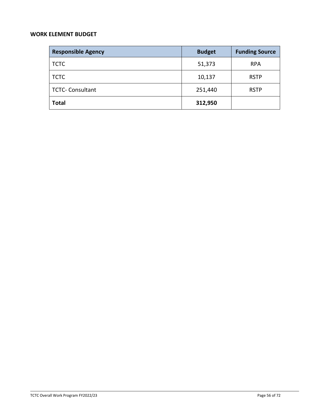| <b>Responsible Agency</b> | <b>Budget</b> | <b>Funding Source</b> |
|---------------------------|---------------|-----------------------|
| <b>TCTC</b>               | 51,373        | <b>RPA</b>            |
| <b>TCTC</b>               | 10,137        | <b>RSTP</b>           |
| <b>TCTC- Consultant</b>   | 251,440       | <b>RSTP</b>           |
| <b>Total</b>              | 312,950       |                       |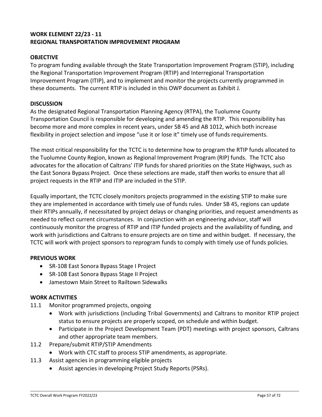# **WORK ELEMENT 22/23 - 11 REGIONAL TRANSPORTATION IMPROVEMENT PROGRAM**

## **OBJECTIVE**

To program funding available through the State Transportation Improvement Program (STIP), including the Regional Transportation Improvement Program (RTIP) and Interregional Transportation Improvement Program (ITIP), and to implement and monitor the projects currently programmed in these documents. The current RTIP is included in this OWP document as Exhibit J.

### **DISCUSSION**

As the designated Regional Transportation Planning Agency (RTPA), the Tuolumne County Transportation Council is responsible for developing and amending the RTIP. This responsibility has become more and more complex in recent years, under SB 45 and AB 1012, which both increase flexibility in project selection and impose "use it or lose it" timely use of funds requirements.

The most critical responsibility for the TCTC is to determine how to program the RTIP funds allocated to the Tuolumne County Region, known as Regional Improvement Program (RIP) funds. The TCTC also advocates for the allocation of Caltrans' ITIP funds for shared priorities on the State Highways, such as the East Sonora Bypass Project. Once these selections are made, staff then works to ensure that all project requests in the RTIP and ITIP are included in the STIP.

Equally important, the TCTC closely monitors projects programmed in the existing STIP to make sure they are implemented in accordance with timely use of funds rules. Under SB 45, regions can update their RTIPs annually, if necessitated by project delays or changing priorities, and request amendments as needed to reflect current circumstances. In conjunction with an engineering advisor, staff will continuously monitor the progress of RTIP and ITIP funded projects and the availability of funding, and work with jurisdictions and Caltrans to ensure projects are on time and within budget. If necessary, the TCTC will work with project sponsors to reprogram funds to comply with timely use of funds policies.

### **PREVIOUS WORK**

- SR-108 East Sonora Bypass Stage I Project
- SR-108 East Sonora Bypass Stage II Project
- Jamestown Main Street to Railtown Sidewalks

### **WORK ACTIVITIES**

- 11.1 Monitor programmed projects, ongoing
	- Work with jurisdictions (including Tribal Governments) and Caltrans to monitor RTIP project status to ensure projects are properly scoped, on schedule and within budget.
	- Participate in the Project Development Team (PDT) meetings with project sponsors, Caltrans and other appropriate team members.
- 11.2 Prepare/submit RTIP/STIP Amendments
	- Work with CTC staff to process STIP amendments, as appropriate.
- 11.3 Assist agencies in programming eligible projects
	- Assist agencies in developing Project Study Reports (PSRs).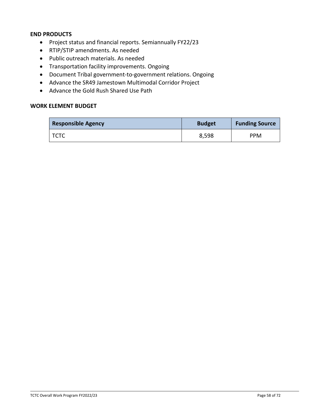### **END PRODUCTS**

- Project status and financial reports. Semiannually FY22/23
- RTIP/STIP amendments. As needed
- Public outreach materials. As needed
- Transportation facility improvements. Ongoing
- Document Tribal government-to-government relations. Ongoing
- Advance the SR49 Jamestown Multimodal Corridor Project
- Advance the Gold Rush Shared Use Path

| <b>Responsible Agency</b> | <b>Budget</b> | <b>Funding Source</b> |
|---------------------------|---------------|-----------------------|
| TCTC                      | 8,598         | <b>PPM</b>            |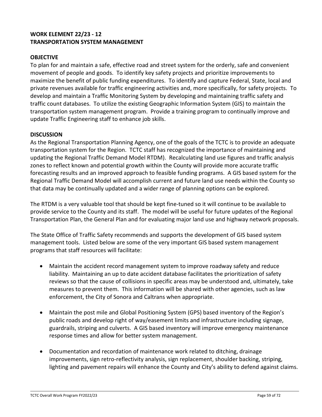# **WORK ELEMENT 22/23 - 12 TRANSPORTATION SYSTEM MANAGEMENT**

# **OBJECTIVE**

To plan for and maintain a safe, effective road and street system for the orderly, safe and convenient movement of people and goods. To identify key safety projects and prioritize improvements to maximize the benefit of public funding expenditures. To identify and capture Federal, State, local and private revenues available for traffic engineering activities and, more specifically, for safety projects. To develop and maintain a Traffic Monitoring System by developing and maintaining traffic safety and traffic count databases. To utilize the existing Geographic Information System (GIS) to maintain the transportation system management program. Provide a training program to continually improve and update Traffic Engineering staff to enhance job skills.

### **DISCUSSION**

As the Regional Transportation Planning Agency, one of the goals of the TCTC is to provide an adequate transportation system for the Region. TCTC staff has recognized the importance of maintaining and updating the Regional Traffic Demand Model RTDM). Recalculating land use figures and traffic analysis zones to reflect known and potential growth within the County will provide more accurate traffic forecasting results and an improved approach to feasible funding programs. A GIS based system for the Regional Traffic Demand Model will accomplish current and future land use needs within the County so that data may be continually updated and a wider range of planning options can be explored.

The RTDM is a very valuable tool that should be kept fine-tuned so it will continue to be available to provide service to the County and its staff. The model will be useful for future updates of the Regional Transportation Plan, the General Plan and for evaluating major land use and highway network proposals.

The State Office of Traffic Safety recommends and supports the development of GIS based system management tools. Listed below are some of the very important GIS based system management programs that staff resources will facilitate:

- Maintain the accident record management system to improve roadway safety and reduce liability. Maintaining an up to date accident database facilitates the prioritization of safety reviews so that the cause of collisions in specific areas may be understood and, ultimately, take measures to prevent them. This information will be shared with other agencies, such as law enforcement, the City of Sonora and Caltrans when appropriate.
- Maintain the post mile and Global Positioning System (GPS) based inventory of the Region's public roads and develop right of way/easement limits and infrastructure including signage, guardrails, striping and culverts. A GIS based inventory will improve emergency maintenance response times and allow for better system management.
- Documentation and recordation of maintenance work related to ditching, drainage improvements, sign retro-reflectivity analysis, sign replacement, shoulder backing, striping, lighting and pavement repairs will enhance the County and City's ability to defend against claims.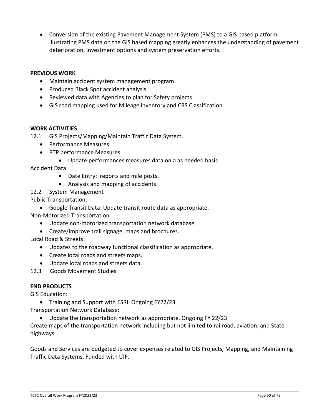• Conversion of the existing Pavement Management System (PMS) to a GIS based platform. Illustrating PMS data on the GIS based mapping greatly enhances the understanding of pavement deterioration, investment options and system preservation efforts.

### **PREVIOUS WORK**

- Maintain accident system management program
- Produced Black Spot accident analysis
- Reviewed data with Agencies to plan for Safety projects
- GIS road mapping used for Mileage inventory and CRS Classification

### **WORK ACTIVITIES**

- 12.1 GIS Projects/Mapping/Maintain Traffic Data System.
	- Performance Measures
	- RTP performance Measures
		- Update performances measures data on a as needed basis

Accident Data:

- Date Entry: reports and mile posts.
- Analysis and mapping of accidents.
- 12.2 System Management

Public Transportation:

• Google Transit Data: Update transit route data as appropriate.

Non-Motorized Transportation:

- Update non-motorized transportation network database.
- Create/improve trail signage, maps and brochures.

Local Road & Streets:

- Updates to the roadway functional classification as appropriate.
- Create local roads and streets maps.
- Update local roads and streets data.
- 12.3Goods Movement Studies

### **END PRODUCTS**

GIS Education:

• Training and Support with ESRI. Ongoing FY22/23

Transportation Network Database:

• Update the transportation network as appropriate. Ongoing FY 22/23

Create maps of the transportation network including but not limited to railroad, aviation, and State highways.

Goods and Services are budgeted to cover expenses related to GIS Projects, Mapping, and Maintaining Traffic Data Systems. Funded with LTF.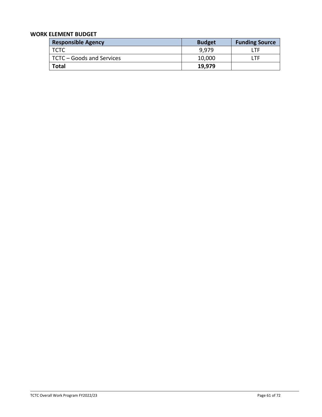| <b>Responsible Agency</b> | <b>Budget</b> | <b>Funding Source</b> |
|---------------------------|---------------|-----------------------|
| I тстс                    | 9,979         | ' TF                  |
| TCTC – Goods and Services | 10,000        | ' TF.                 |
| <b>Total</b>              | 19,979        |                       |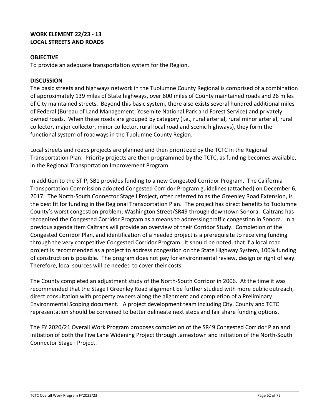# **WORK ELEMENT 22/23 - 13 LOCAL STREETS AND ROADS**

## **OBJECTIVE**

To provide an adequate transportation system for the Region.

### **DISCUSSION**

The basic streets and highways network in the Tuolumne County Regional is comprised of a combination of approximately 139 miles of State highways, over 600 miles of County maintained roads and 26 miles of City maintained streets. Beyond this basic system, there also exists several hundred additional miles of Federal (Bureau of Land Management, Yosemite National Park and Forest Service) and privately owned roads. When these roads are grouped by category (i.e., rural arterial, rural minor arterial, rural collector, major collector, minor collector, rural local road and scenic highways), they form the functional system of roadways in the Tuolumne County Region.

Local streets and roads projects are planned and then prioritized by the TCTC in the Regional Transportation Plan. Priority projects are then programmed by the TCTC, as funding becomes available, in the Regional Transportation Improvement Program.

In addition to the STIP, SB1 provides funding to a new Congested Corridor Program. The California Transportation Commission adopted Congested Corridor Program guidelines (attached) on December 6, 2017. The North-South Connector Stage I Project, often referred to as the Greenley Road Extension, is the best fit for funding in the Regional Transportation Plan. The project has direct benefits to Tuolumne County's worst congestion problem; Washington Street/SR49 through downtown Sonora. Caltrans has recognized the Congested Corridor Program as a means to addressing traffic congestion in Sonora. In a previous agenda item Caltrans will provide an overview of their Corridor Study. Completion of the Congested Corridor Plan, and identification of a needed project is a prerequisite to receiving funding through the very competitive Congested Corridor Program. It should be noted, that if a local road project is recommended as a project to address congestion on the State Highway System, 100% funding of construction is possible. The program does not pay for environmental review, design or right of way. Therefore, local sources will be needed to cover their costs.

The County completed an adjustment study of the North-South Corridor in 2006. At the time it was recommended that the Stage I Greenley Road alignment be further studied with more public outreach, direct consultation with property owners along the alignment and completion of a Preliminary Environmental Scoping document. A project development team including City, County and TCTC representation should be convened to better delineate next steps and fair share funding options.

The FY 2020/21 Overall Work Program proposes completion of the SR49 Congested Corridor Plan and initiation of both the Five Lane Widening Project through Jamestown and initiation of the North-South Connector Stage I Project.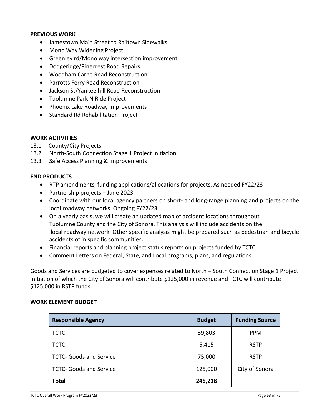#### **PREVIOUS WORK**

- Jamestown Main Street to Railtown Sidewalks
- Mono Way Widening Project
- Greenley rd/Mono way intersection improvement
- Dodgeridge/Pinecrest Road Repairs
- Woodham Carne Road Reconstruction
- Parrotts Ferry Road Reconstruction
- Jackson St/Yankee hill Road Reconstruction
- Tuolumne Park N Ride Project
- Phoenix Lake Roadway Improvements
- Standard Rd Rehabilitation Project

#### **WORK ACTIVITIES**

- 13.1 County/City Projects.
- 13.2 North-South Connection Stage 1 Project Initiation
- 13.3 Safe Access Planning & Improvements

### **END PRODUCTS**

- RTP amendments, funding applications/allocations for projects. As needed FY22/23
- Partnership projects June 2023
- Coordinate with our local agency partners on short- and long-range planning and projects on the local roadway networks. Ongoing FY22/23
- On a yearly basis, we will create an updated map of accident locations throughout Tuolumne County and the City of Sonora. This analysis will include accidents on the local roadway network. Other specific analysis might be prepared such as pedestrian and bicycle accidents of in specific communities.
- Financial reports and planning project status reports on projects funded by TCTC.
- Comment Letters on Federal, State, and Local programs, plans, and regulations.

Goods and Services are budgeted to cover expenses related to North – South Connection Stage 1 Project Initiation of which the City of Sonora will contribute \$125,000 in revenue and TCTC will contribute \$125,000 in RSTP funds.

| <b>Responsible Agency</b>      | <b>Budget</b> | <b>Funding Source</b> |
|--------------------------------|---------------|-----------------------|
| <b>TCTC</b>                    | 39,803        | <b>PPM</b>            |
| <b>TCTC</b>                    | 5,415         | <b>RSTP</b>           |
| <b>TCTC- Goods and Service</b> | 75,000        | <b>RSTP</b>           |
| <b>TCTC- Goods and Service</b> | 125,000       | City of Sonora        |
| <b>Total</b>                   | 245,218       |                       |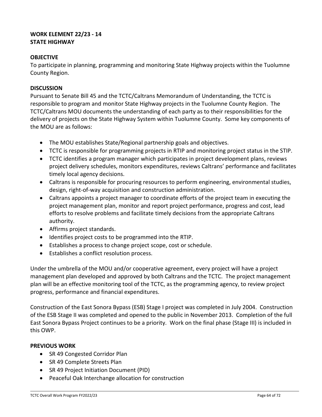# **WORK ELEMENT 22/23 - 14 STATE HIGHWAY**

## **OBJECTIVE**

To participate in planning, programming and monitoring State Highway projects within the Tuolumne County Region.

### **DISCUSSION**

Pursuant to Senate Bill 45 and the TCTC/Caltrans Memorandum of Understanding, the TCTC is responsible to program and monitor State Highway projects in the Tuolumne County Region. The TCTC/Caltrans MOU documents the understanding of each party as to their responsibilities for the delivery of projects on the State Highway System within Tuolumne County. Some key components of the MOU are as follows:

- The MOU establishes State/Regional partnership goals and objectives.
- TCTC is responsible for programming projects in RTIP and monitoring project status in the STIP.
- TCTC identifies a program manager which participates in project development plans, reviews project delivery schedules, monitors expenditures, reviews Caltrans' performance and facilitates timely local agency decisions.
- Caltrans is responsible for procuring resources to perform engineering, environmental studies, design, right-of-way acquisition and construction administration.
- Caltrans appoints a project manager to coordinate efforts of the project team in executing the project management plan, monitor and report project performance, progress and cost, lead efforts to resolve problems and facilitate timely decisions from the appropriate Caltrans authority.
- Affirms project standards.
- Identifies project costs to be programmed into the RTIP.
- Establishes a process to change project scope, cost or schedule.
- Establishes a conflict resolution process.

Under the umbrella of the MOU and/or cooperative agreement, every project will have a project management plan developed and approved by both Caltrans and the TCTC. The project management plan will be an effective monitoring tool of the TCTC, as the programming agency, to review project progress, performance and financial expenditures.

Construction of the East Sonora Bypass (ESB) Stage I project was completed in July 2004. Construction of the ESB Stage II was completed and opened to the public in November 2013. Completion of the full East Sonora Bypass Project continues to be a priority. Work on the final phase (Stage III) is included in this OWP.

### **PREVIOUS WORK**

- SR 49 Congested Corridor Plan
- SR 49 Complete Streets Plan
- SR 49 Project Initiation Document (PID)
- Peaceful Oak Interchange allocation for construction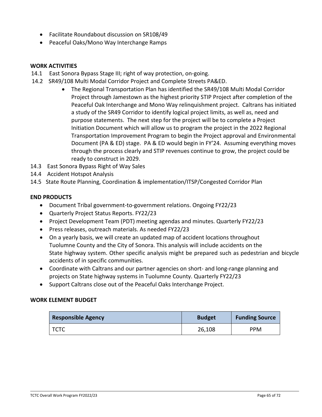- Facilitate Roundabout discussion on SR108/49
- Peaceful Oaks/Mono Way Interchange Ramps

#### **WORK ACTIVITIES**

- 14.1 East Sonora Bypass Stage III; right of way protection, on-going.
- 14.2 SR49/108 Multi Modal Corridor Project and Complete Streets PA&ED.
	- The Regional Transportation Plan has identified the SR49/108 Multi Modal Corridor Project through Jamestown as the highest priority STIP Project after completion of the Peaceful Oak Interchange and Mono Way relinquishment project. Caltrans has initiated a study of the SR49 Corridor to identify logical project limits, as well as, need and purpose statements. The next step for the project will be to complete a Project Initiation Document which will allow us to program the project in the 2022 Regional Transportation Improvement Program to begin the Project approval and Environmental Document (PA & ED) stage. PA & ED would begin in FY'24. Assuming everything moves through the process clearly and STIP revenues continue to grow, the project could be ready to construct in 2029.
- 14.3 East Sonora Bypass Right of Way Sales
- 14.4 Accident Hotspot Analysis
- 14.5 State Route Planning, Coordination & implementation/ITSP/Congested Corridor Plan

#### **END PRODUCTS**

- Document Tribal government-to-government relations. Ongoing FY22/23
- Quarterly Project Status Reports. FY22/23
- Project Development Team (PDT) meeting agendas and minutes. Quarterly FY22/23
- Press releases, outreach materials. As needed FY22/23
- On a yearly basis, we will create an updated map of accident locations throughout Tuolumne County and the City of Sonora. This analysis will include accidents on the State highway system. Other specific analysis might be prepared such as pedestrian and bicycle accidents of in specific communities.
- Coordinate with Caltrans and our partner agencies on short- and long-range planning and projects on State highway systems in Tuolumne County. Quarterly FY22/23
- Support Caltrans close out of the Peaceful Oaks Interchange Project.

| <b>Responsible Agency</b> | <b>Budget</b> | <b>Funding Source</b> |
|---------------------------|---------------|-----------------------|
| TCTC                      | 26,108        | <b>PPM</b>            |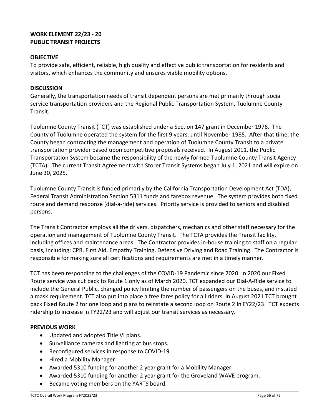# **WORK ELEMENT 22/23 - 20 PUBLIC TRANSIT PROJECTS**

# **OBJECTIVE**

To provide safe, efficient, reliable, high quality and effective public transportation for residents and visitors, which enhances the community and ensures viable mobility options.

### **DISCUSSION**

Generally, the transportation needs of transit dependent persons are met primarily through social service transportation providers and the Regional Public Transportation System, Tuolumne County Transit.

Tuolumne County Transit (TCT) was established under a Section 147 grant in December 1976. The County of Tuolumne operated the system for the first 9 years, until November 1985. After that time, the County began contracting the management and operation of Tuolumne County Transit to a private transportation provider based upon competitive proposals received. In August 2011, the Public Transportation System became the responsibility of the newly formed Tuolumne County Transit Agency (TCTA). The current Transit Agreement with Storer Transit Systems began July 1, 2021 and will expire on June 30, 2025.

Tuolumne County Transit is funded primarily by the California Transportation Development Act (TDA), Federal Transit Administration Section 5311 funds and farebox revenue. The system provides both fixed route and demand response (dial-a-ride) services. Priority service is provided to seniors and disabled persons.

The Transit Contractor employs all the drivers, dispatchers, mechanics and other staff necessary for the operation and management of Tuolumne County Transit. The TCTA provides the Transit facility, including offices and maintenance areas. The Contractor provides in-house training to staff on a regular basis, including; CPR, First Aid, Empathy Training, Defensive Driving and Road Training. The Contractor is responsible for making sure all certifications and requirements are met in a timely manner.

TCT has been responding to the challenges of the COVID-19 Pandemic since 2020. In 2020 our Fixed Route service was cut back to Route 1 only as of March 2020. TCT expanded our Dial-A-Ride service to include the General Public, changed policy limiting the number of passengers on the buses, and instated a mask requirement. TCT also put into place a free fares policy for all riders. In August 2021 TCT brought back Fixed Route 2 for one loop and plans to reinstate a second loop on Route 2 In FY22/23. TCT expects ridership to increase in FY22/23 and will adjust our transit services as necessary.

# **PREVIOUS WORK**

- Updated and adopted Title VI plans.
- Surveillance cameras and lighting at bus stops.
- Reconfigured services in response to COVID-19
- Hired a Mobility Manager
- Awarded 5310 funding for another 2 year grant for a Mobility Manager
- Awarded 5310 funding for another 2 year grant for the Groveland WAVE program.
- Became voting members on the YARTS board.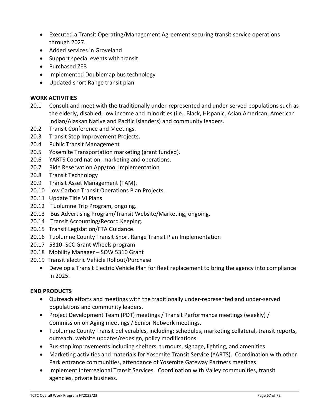- Executed a Transit Operating/Management Agreement securing transit service operations through 2027.
- Added services in Groveland
- Support special events with transit
- Purchased ZEB
- Implemented Doublemap bus technology
- Updated short Range transit plan

### **WORK ACTIVITIES**

- 20.1 Consult and meet with the traditionally under-represented and under-served populations such as the elderly, disabled, low income and minorities (i.e., Black, Hispanic, Asian American, American Indian/Alaskan Native and Pacific Islanders) and community leaders.
- 20.2 Transit Conference and Meetings.
- 20.3 Transit Stop Improvement Projects.
- 20.4 Public Transit Management
- 20.5 Yosemite Transportation marketing (grant funded).
- 20.6 YARTS Coordination, marketing and operations.
- 20.7 Ride Reservation App/tool Implementation
- 20.8 Transit Technology
- 20.9 Transit Asset Management (TAM).
- 20.10 Low Carbon Transit Operations Plan Projects.
- 20.11 Update Title VI Plans
- 20.12 Tuolumne Trip Program, ongoing.
- 20.13 Bus Advertising Program/Transit Website/Marketing, ongoing.
- 20.14 Transit Accounting/Record Keeping.
- 20.15 Transit Legislation/FTA Guidance.
- 20.16 Tuolumne County Transit Short Range Transit Plan Implementation
- 20.17 5310- SCC Grant Wheels program
- 20.18 Mobility Manager SOW 5310 Grant
- 20.19 Transit electric Vehicle Rollout/Purchase
	- Develop a Transit Electric Vehicle Plan for fleet replacement to bring the agency into compliance in 2025.

# **END PRODUCTS**

- Outreach efforts and meetings with the traditionally under-represented and under-served populations and community leaders.
- Project Development Team (PDT) meetings / Transit Performance meetings (weekly) / Commission on Aging meetings / Senior Network meetings.
- Tuolumne County Transit deliverables, including; schedules, marketing collateral, transit reports, outreach, website updates/redesign, policy modifications.
- Bus stop improvements including shelters, turnouts, signage, lighting, and amenities
- Marketing activities and materials for Yosemite Transit Service (YARTS). Coordination with other Park entrance communities, attendance of Yosemite Gateway Partners meetings
- Implement Interregional Transit Services. Coordination with Valley communities, transit agencies, private business.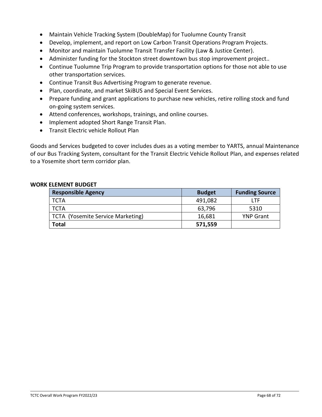- Maintain Vehicle Tracking System (DoubleMap) for Tuolumne County Transit
- Develop, implement, and report on Low Carbon Transit Operations Program Projects.
- Monitor and maintain Tuolumne Transit Transfer Facility (Law & Justice Center).
- Administer funding for the Stockton street downtown bus stop improvement project..
- Continue Tuolumne Trip Program to provide transportation options for those not able to use other transportation services.
- Continue Transit Bus Advertising Program to generate revenue.
- Plan, coordinate, and market SkiBUS and Special Event Services.
- Prepare funding and grant applications to purchase new vehicles, retire rolling stock and fund on-going system services.
- Attend conferences, workshops, trainings, and online courses.
- Implement adopted Short Range Transit Plan.
- Transit Electric vehicle Rollout Plan

Goods and Services budgeted to cover includes dues as a voting member to YARTS, annual Maintenance of our Bus Tracking System, consultant for the Transit Electric Vehicle Rollout Plan, and expenses related to a Yosemite short term corridor plan.

| <b>Responsible Agency</b>         | <b>Budget</b> | <b>Funding Source</b> |
|-----------------------------------|---------------|-----------------------|
| l TCTA                            | 491,082       | I TF                  |
| l TCTA                            | 63,796        | 5310                  |
| TCTA (Yosemite Service Marketing) | 16,681        | <b>YNP Grant</b>      |
| <b>Total</b>                      | 571,559       |                       |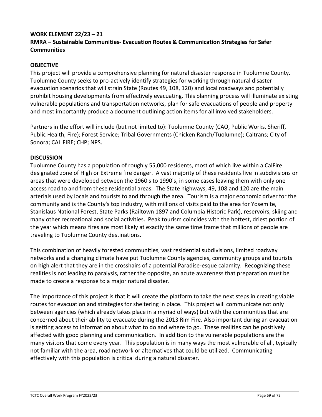### **WORK ELEMENT 22/23 – 21**

# **RMRA – Sustainable Communities- Evacuation Routes & Communication Strategies for Safer Communities**

### **OBJECTIVE**

This project will provide a comprehensive planning for natural disaster response in Tuolumne County. Tuolumne County seeks to pro-actively identify strategies for working through natural disaster evacuation scenarios that will strain State (Routes 49, 108, 120) and local roadways and potentially prohibit housing developments from effectively evacuating. This planning process will illuminate existing vulnerable populations and transportation networks, plan for safe evacuations of people and property and most importantly produce a document outlining action items for all involved stakeholders.

Partners in the effort will include (but not limited to): Tuolumne County (CAO, Public Works, Sheriff, Public Health, Fire); Forest Service; Tribal Governments (Chicken Ranch/Tuolumne); Caltrans; City of Sonora; CAL FIRE; CHP; NPS.

### **DISCUSSION**

Tuolumne County has a population of roughly 55,000 residents, most of which live within a CalFire designated zone of High or Extreme fire danger. A vast majority of these residents live in subdivisions or areas that were developed between the 1960's to 1990's, in some cases leaving them with only one access road to and from these residential areas. The State highways, 49, 108 and 120 are the main arterials used by locals and tourists to and through the area. Tourism is a major economic driver for the community and is the County's top industry, with millions of visits paid to the area for Yosemite, Stanislaus National Forest, State Parks (Railtown 1897 and Columbia Historic Park), reservoirs, skiing and many other recreational and social activities. Peak tourism coincides with the hottest, driest portion of the year which means fires are most likely at exactly the same time frame that millions of people are traveling to Tuolumne County destinations.

This combination of heavily forested communities, vast residential subdivisions, limited roadway networks and a changing climate have put Tuolumne County agencies, community groups and tourists on high alert that they are in the crosshairs of a potential Paradise-esque calamity. Recognizing these realities is not leading to paralysis, rather the opposite, an acute awareness that preparation must be made to create a response to a major natural disaster.

The importance of this project is that it will create the platform to take the next steps in creating viable routes for evacuation and strategies for sheltering in place. This project will communicate not only between agencies (which already takes place in a myriad of ways) but with the communities that are concerned about their ability to evacuate during the 2013 Rim Fire. Also important during an evacuation is getting access to information about what to do and where to go. These realities can be positively affected with good planning and communication. In addition to the vulnerable populations are the many visitors that come every year. This population is in many ways the most vulnerable of all, typically not familiar with the area, road network or alternatives that could be utilized. Communicating effectively with this population is critical during a natural disaster.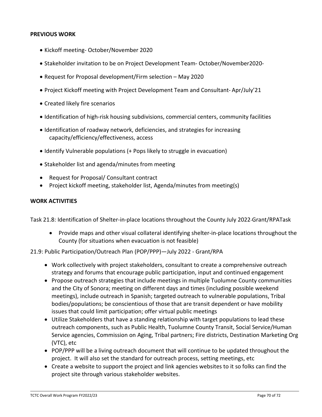### **PREVIOUS WORK**

- Kickoff meeting- October/November 2020
- Stakeholder invitation to be on Project Development Team- October/November2020-
- Request for Proposal development/Firm selection May 2020
- Project Kickoff meeting with Project Development Team and Consultant- Apr/July'21
- Created likely fire scenarios
- Identification of high-risk housing subdivisions, commercial centers, community facilities
- Identification of roadway network, deficiencies, and strategies for increasing capacity/efficiency/effectiveness, access
- Identify Vulnerable populations (+ Pops likely to struggle in evacuation)
- Stakeholder list and agenda/minutes from meeting
- Request for Proposal/ Consultant contract
- Project kickoff meeting, stakeholder list, Agenda/minutes from meeting(s)

#### **WORK ACTIVITIES**

Task 21.8: Identification of Shelter-in-place locations throughout the County July 2022-Grant/RPATask

• Provide maps and other visual collateral identifying shelter-in-place locations throughout the County (for situations when evacuation is not feasible)

### 21.9: Public Participation/Outreach Plan (POP/PPP)—July 2022 - Grant/RPA

- Work collectively with project stakeholders, consultant to create a comprehensive outreach strategy and forums that encourage public participation, input and continued engagement
- Propose outreach strategies that include meetings in multiple Tuolumne County communities and the City of Sonora; meeting on different days and times (including possible weekend meetings), include outreach in Spanish; targeted outreach to vulnerable populations, Tribal bodies/populations; be conscientious of those that are transit dependent or have mobility issues that could limit participation; offer virtual public meetings
- Utilize Stakeholders that have a standing relationship with target populations to lead these outreach components, such as Public Health, Tuolumne County Transit, Social Service/Human Service agencies, Commission on Aging, Tribal partners; Fire districts, Destination Marketing Org (VTC), etc
- POP/PPP will be a living outreach document that will continue to be updated throughout the project. It will also set the standard for outreach process, setting meetings, etc
- Create a website to support the project and link agencies websites to it so folks can find the project site through various stakeholder websites.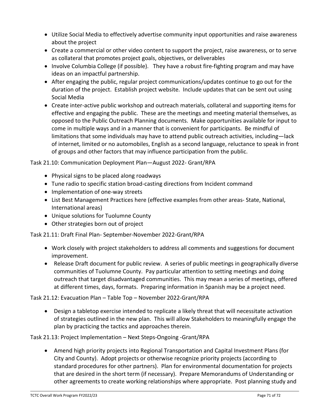- Utilize Social Media to effectively advertise community input opportunities and raise awareness about the project
- Create a commercial or other video content to support the project, raise awareness, or to serve as collateral that promotes project goals, objectives, or deliverables
- Involve Columbia College (if possible). They have a robust fire-fighting program and may have ideas on an impactful partnership.
- After engaging the public, regular project communications/updates continue to go out for the duration of the project. Establish project website. Include updates that can be sent out using Social Media
- Create inter-active public workshop and outreach materials, collateral and supporting items for effective and engaging the public. These are the meetings and meeting material themselves, as opposed to the Public Outreach Planning documents. Make opportunities available for input to come in multiple ways and in a manner that is convenient for participants. Be mindful of limitations that some individuals may have to attend public outreach activities, including—lack of internet, limited or no automobiles, English as a second language, reluctance to speak in front of groups and other factors that may influence participation from the public.

# Task 21.10: Communication Deployment Plan—August 2022- Grant/RPA

- Physical signs to be placed along roadways
- Tune radio to specific station broad-casting directions from Incident command
- Implementation of one-way streets
- List Best Management Practices here (effective examples from other areas- State, National, International areas)
- Unique solutions for Tuolumne County
- Other strategies born out of project

Task 21.11: Draft Final Plan- September-November 2022-Grant/RPA

- Work closely with project stakeholders to address all comments and suggestions for document improvement.
- Release Draft document for public review. A series of public meetings in geographically diverse communities of Tuolumne County. Pay particular attention to setting meetings and doing outreach that target disadvantaged communities. This may mean a series of meetings, offered at different times, days, formats. Preparing information in Spanish may be a project need.

Task 21.12: Evacuation Plan – Table Top – November 2022-Grant/RPA

• Design a tabletop exercise intended to replicate a likely threat that will necessitate activation of strategies outlined in the new plan. This will allow Stakeholders to meaningfully engage the plan by practicing the tactics and approaches therein.

Task 21.13: Project Implementation – Next Steps-Ongoing -Grant/RPA

• Amend high priority projects into Regional Transportation and Capital Investment Plans (for City and County). Adopt projects or otherwise recognize priority projects (according to standard procedures for other partners). Plan for environmental documentation for projects that are desired in the short term (if necessary). Prepare Memorandums of Understanding or other agreements to create working relationships where appropriate. Post planning study and